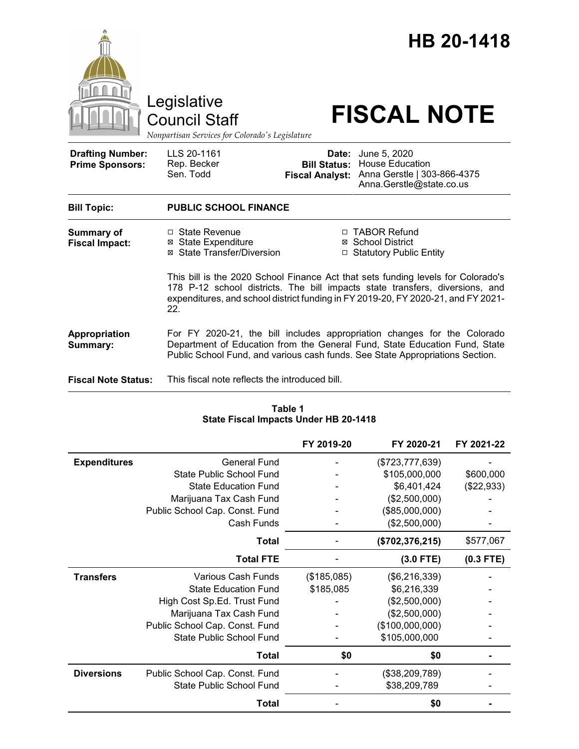

| Table 1<br>State Fiscal Impacts Under HB 20-1418 |                                |             |                   |             |  |  |  |  |  |  |  |
|--------------------------------------------------|--------------------------------|-------------|-------------------|-------------|--|--|--|--|--|--|--|
|                                                  |                                | FY 2019-20  | FY 2020-21        | FY 2021-22  |  |  |  |  |  |  |  |
| <b>Expenditures</b>                              | <b>General Fund</b>            |             | (\$723,777,639)   |             |  |  |  |  |  |  |  |
|                                                  | State Public School Fund       |             | \$105,000,000     | \$600,000   |  |  |  |  |  |  |  |
|                                                  | <b>State Education Fund</b>    |             | \$6,401,424       | (\$22,933)  |  |  |  |  |  |  |  |
|                                                  | Marijuana Tax Cash Fund        |             | (\$2,500,000)     |             |  |  |  |  |  |  |  |
|                                                  | Public School Cap. Const. Fund |             | (\$85,000,000)    |             |  |  |  |  |  |  |  |
|                                                  | Cash Funds                     |             | (\$2,500,000)     |             |  |  |  |  |  |  |  |
|                                                  | Total                          |             | (\$702, 376, 215) | \$577,067   |  |  |  |  |  |  |  |
|                                                  | <b>Total FTE</b>               |             | $(3.0$ FTE)       | $(0.3$ FTE) |  |  |  |  |  |  |  |
| <b>Transfers</b>                                 | Various Cash Funds             | (\$185,085) | (\$6,216,339)     |             |  |  |  |  |  |  |  |
|                                                  | <b>State Education Fund</b>    | \$185,085   | \$6,216,339       |             |  |  |  |  |  |  |  |
|                                                  | High Cost Sp.Ed. Trust Fund    |             | (\$2,500,000)     |             |  |  |  |  |  |  |  |
|                                                  | Marijuana Tax Cash Fund        |             | (\$2,500,000)     |             |  |  |  |  |  |  |  |
|                                                  | Public School Cap. Const. Fund |             | (\$100,000,000)   |             |  |  |  |  |  |  |  |
|                                                  | State Public School Fund       |             | \$105,000,000     |             |  |  |  |  |  |  |  |
|                                                  | <b>Total</b>                   | \$0         | \$0               |             |  |  |  |  |  |  |  |
| <b>Diversions</b>                                | Public School Cap. Const. Fund |             | (\$38,209,789)    |             |  |  |  |  |  |  |  |
|                                                  | State Public School Fund       |             | \$38,209,789      |             |  |  |  |  |  |  |  |
|                                                  | Total                          |             | \$0               |             |  |  |  |  |  |  |  |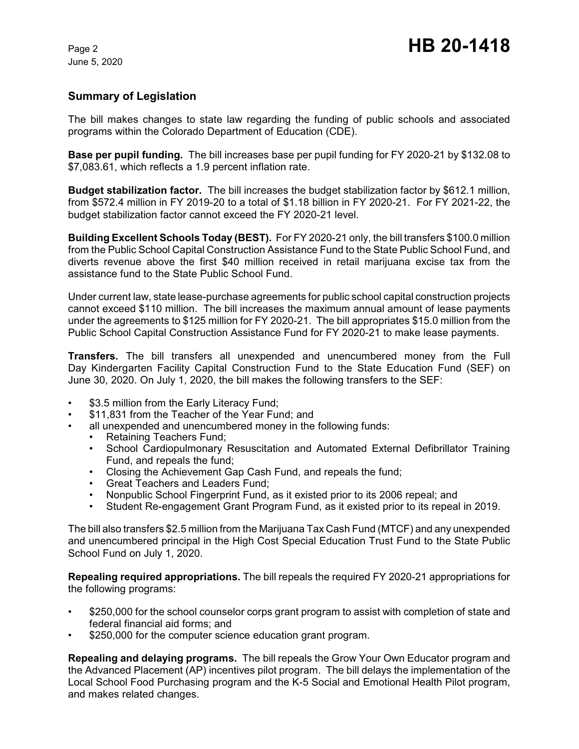### **Summary of Legislation**

The bill makes changes to state law regarding the funding of public schools and associated programs within the Colorado Department of Education (CDE).

**Base per pupil funding.** The bill increases base per pupil funding for FY 2020-21 by \$132.08 to \$7,083.61, which reflects a 1.9 percent inflation rate.

**Budget stabilization factor.** The bill increases the budget stabilization factor by \$612.1 million, from \$572.4 million in FY 2019-20 to a total of \$1.18 billion in FY 2020-21. For FY 2021-22, the budget stabilization factor cannot exceed the FY 2020-21 level.

**Building Excellent Schools Today (BEST).** For FY 2020-21 only, the bill transfers \$100.0 million from the Public School Capital Construction Assistance Fund to the State Public School Fund, and diverts revenue above the first \$40 million received in retail marijuana excise tax from the assistance fund to the State Public School Fund.

Under current law, state lease-purchase agreements for public school capital construction projects cannot exceed \$110 million. The bill increases the maximum annual amount of lease payments under the agreements to \$125 million for FY 2020-21. The bill appropriates \$15.0 million from the Public School Capital Construction Assistance Fund for FY 2020-21 to make lease payments.

**Transfers.** The bill transfers all unexpended and unencumbered money from the Full Day Kindergarten Facility Capital Construction Fund to the State Education Fund (SEF) on June 30, 2020. On July 1, 2020, the bill makes the following transfers to the SEF:

- \$3.5 million from the Early Literacy Fund:
- \$11,831 from the Teacher of the Year Fund; and
- all unexpended and unencumbered money in the following funds:
	- Retaining Teachers Fund;
	- School Cardiopulmonary Resuscitation and Automated External Defibrillator Training Fund, and repeals the fund;
	- Closing the Achievement Gap Cash Fund, and repeals the fund;<br>• Great Teachers and Leaders Fund:
	- Great Teachers and Leaders Fund;
	- Nonpublic School Fingerprint Fund, as it existed prior to its 2006 repeal; and
	- Student Re-engagement Grant Program Fund, as it existed prior to its repeal in 2019.

The bill also transfers \$2.5 million from the Marijuana Tax Cash Fund (MTCF) and any unexpended and unencumbered principal in the High Cost Special Education Trust Fund to the State Public School Fund on July 1, 2020.

**Repealing required appropriations.** The bill repeals the required FY 2020-21 appropriations for the following programs:

- \$250,000 for the school counselor corps grant program to assist with completion of state and federal financial aid forms; and
- \$250,000 for the computer science education grant program.

**Repealing and delaying programs.** The bill repeals the Grow Your Own Educator program and the Advanced Placement (AP) incentives pilot program. The bill delays the implementation of the Local School Food Purchasing program and the K-5 Social and Emotional Health Pilot program, and makes related changes.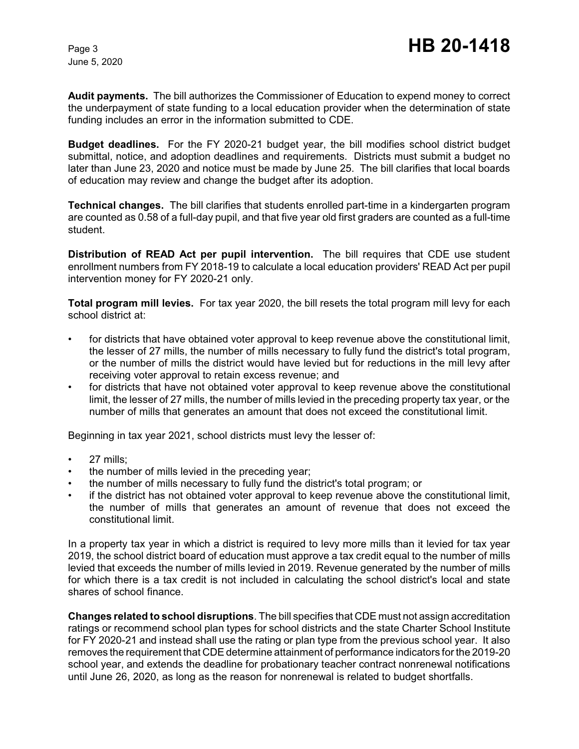**Audit payments.** The bill authorizes the Commissioner of Education to expend money to correct the underpayment of state funding to a local education provider when the determination of state funding includes an error in the information submitted to CDE.

**Budget deadlines.** For the FY 2020-21 budget year, the bill modifies school district budget submittal, notice, and adoption deadlines and requirements. Districts must submit a budget no later than June 23, 2020 and notice must be made by June 25. The bill clarifies that local boards of education may review and change the budget after its adoption.

**Technical changes.** The bill clarifies that students enrolled part-time in a kindergarten program are counted as 0.58 of a full-day pupil, and that five year old first graders are counted as a full-time student.

**Distribution of READ Act per pupil intervention.** The bill requires that CDE use student enrollment numbers from FY 2018-19 to calculate a local education providers' READ Act per pupil intervention money for FY 2020-21 only.

**Total program mill levies.** For tax year 2020, the bill resets the total program mill levy for each school district at:

- for districts that have obtained voter approval to keep revenue above the constitutional limit, the lesser of 27 mills, the number of mills necessary to fully fund the district's total program, or the number of mills the district would have levied but for reductions in the mill levy after receiving voter approval to retain excess revenue; and
- for districts that have not obtained voter approval to keep revenue above the constitutional limit, the lesser of 27 mills, the number of mills levied in the preceding property tax year, or the number of mills that generates an amount that does not exceed the constitutional limit.

Beginning in tax year 2021, school districts must levy the lesser of:

- 27 mills;
- the number of mills levied in the preceding year;
- the number of mills necessary to fully fund the district's total program; or
- if the district has not obtained voter approval to keep revenue above the constitutional limit, the number of mills that generates an amount of revenue that does not exceed the constitutional limit.

In a property tax year in which a district is required to levy more mills than it levied for tax year 2019, the school district board of education must approve a tax credit equal to the number of mills levied that exceeds the number of mills levied in 2019. Revenue generated by the number of mills for which there is a tax credit is not included in calculating the school district's local and state shares of school finance.

**Changes related to school disruptions**. The bill specifies that CDE must not assign accreditation ratings or recommend school plan types for school districts and the state Charter School Institute for FY 2020-21 and instead shall use the rating or plan type from the previous school year. It also removes the requirement that CDE determine attainment of performance indicators forthe 2019-20 school year, and extends the deadline for probationary teacher contract nonrenewal notifications until June 26, 2020, as long as the reason for nonrenewal is related to budget shortfalls.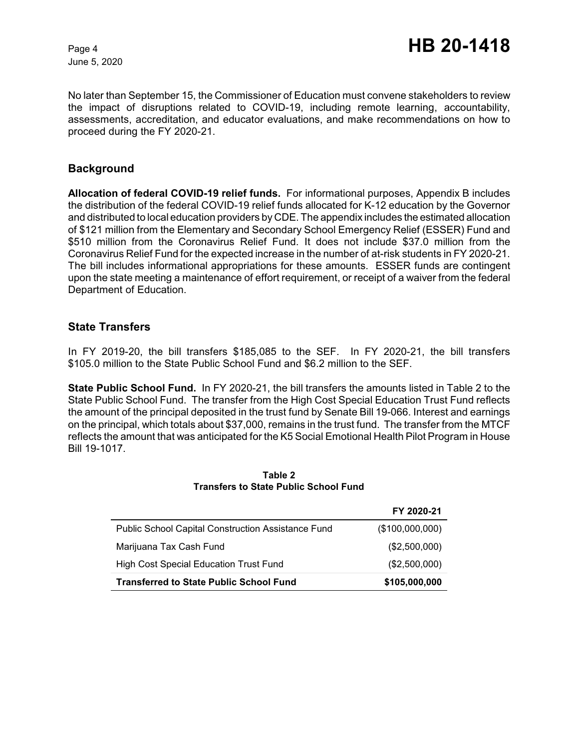No later than September 15, the Commissioner of Education must convene stakeholders to review the impact of disruptions related to COVID-19, including remote learning, accountability, assessments, accreditation, and educator evaluations, and make recommendations on how to proceed during the FY 2020-21.

#### **Background**

**Allocation of federal COVID-19 relief funds.** For informational purposes, Appendix B includes the distribution of the federal COVID-19 relief funds allocated for K-12 education by the Governor and distributed to local education providers by CDE. The appendix includes the estimated allocation of \$121 million from the Elementary and Secondary School Emergency Relief (ESSER) Fund and \$510 million from the Coronavirus Relief Fund. It does not include \$37.0 million from the Coronavirus Relief Fund for the expected increase in the number of at-risk students in FY 2020-21. The bill includes informational appropriations for these amounts. ESSER funds are contingent upon the state meeting a maintenance of effort requirement, or receipt of a waiver from the federal Department of Education.

#### **State Transfers**

In FY 2019-20, the bill transfers \$185,085 to the SEF. In FY 2020-21, the bill transfers \$105.0 million to the State Public School Fund and \$6.2 million to the SEF.

**State Public School Fund.** In FY 2020-21, the bill transfers the amounts listed in Table 2 to the State Public School Fund. The transfer from the High Cost Special Education Trust Fund reflects the amount of the principal deposited in the trust fund by Senate Bill 19-066. Interest and earnings on the principal, which totals about \$37,000, remains in the trust fund. The transfer from the MTCF reflects the amount that was anticipated for the K5 Social Emotional Health Pilot Program in House Bill 19-1017.

|                                                           | FY 2020-21      |
|-----------------------------------------------------------|-----------------|
| <b>Public School Capital Construction Assistance Fund</b> | (\$100,000,000) |
| Marijuana Tax Cash Fund                                   | (\$2,500,000)   |
| <b>High Cost Special Education Trust Fund</b>             | (\$2,500,000)   |
| <b>Transferred to State Public School Fund</b>            | \$105,000,000   |

#### **Table 2 Transfers to State Public School Fund**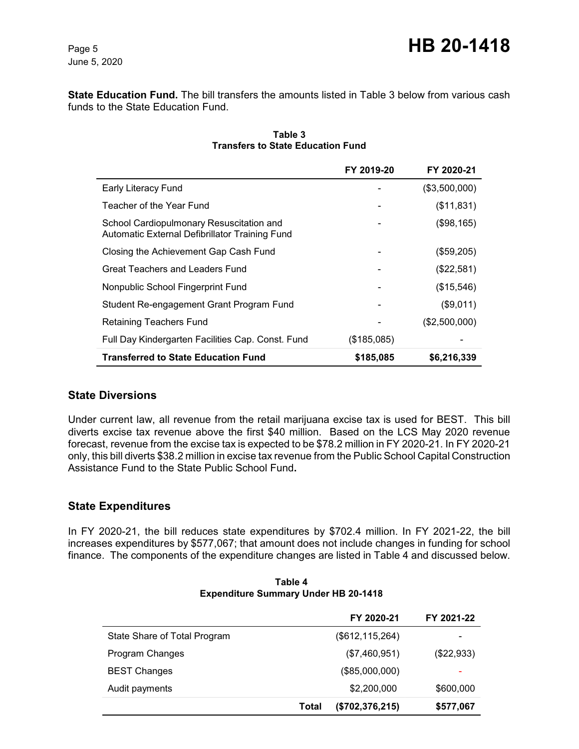**State Education Fund.** The bill transfers the amounts listed in Table 3 below from various cash funds to the State Education Fund.

|                                                                                            | FY 2019-20  | FY 2020-21    |
|--------------------------------------------------------------------------------------------|-------------|---------------|
| <b>Early Literacy Fund</b>                                                                 |             | (\$3,500,000) |
| Teacher of the Year Fund                                                                   |             | (\$11,831)    |
| School Cardiopulmonary Resuscitation and<br>Automatic External Defibrillator Training Fund |             | (\$98,165)    |
| Closing the Achievement Gap Cash Fund                                                      |             | (\$59,205)    |
| Great Teachers and Leaders Fund                                                            |             | (\$22,581)    |
| Nonpublic School Fingerprint Fund                                                          |             | (\$15,546)    |
| Student Re-engagement Grant Program Fund                                                   |             | (\$9,011)     |
| Retaining Teachers Fund                                                                    |             | (\$2,500,000) |
| Full Day Kindergarten Facilities Cap. Const. Fund                                          | (\$185,085) |               |
| <b>Transferred to State Education Fund</b>                                                 | \$185,085   | \$6,216,339   |

#### **Table 3 Transfers to State Education Fund**

### **State Diversions**

Under current law, all revenue from the retail marijuana excise tax is used for BEST. This bill diverts excise tax revenue above the first \$40 million. Based on the LCS May 2020 revenue forecast, revenue from the excise tax is expected to be \$78.2 million in FY 2020-21. In FY 2020-21 only, this bill diverts \$38.2 million in excise tax revenue from the Public School Capital Construction Assistance Fund to the State Public School Fund**.**

### **State Expenditures**

In FY 2020-21, the bill reduces state expenditures by \$702.4 million. In FY 2021-22, the bill increases expenditures by \$577,067; that amount does not include changes in funding for school finance. The components of the expenditure changes are listed in Table 4 and discussed below.

|                              |       | FY 2020-21        | FY 2021-22               |
|------------------------------|-------|-------------------|--------------------------|
| State Share of Total Program |       | (\$612, 115, 264) | $\,$                     |
| Program Changes              |       | (\$7,460,951)     | $(\$22,933)$             |
| <b>BEST Changes</b>          |       | (\$85,000,000)    | $\overline{\phantom{0}}$ |
| Audit payments               |       | \$2,200,000       | \$600,000                |
|                              | Total | (\$702, 376, 215) | \$577,067                |

#### **Table 4 Expenditure Summary Under HB 20-1418**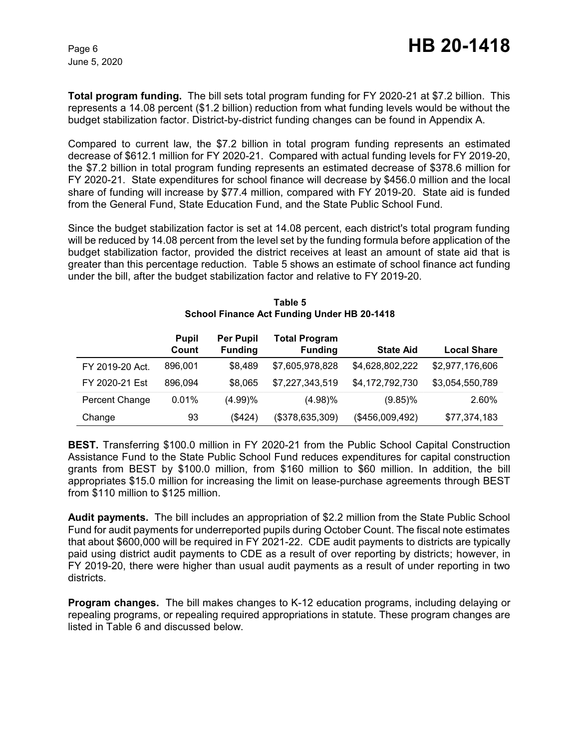**Total program funding.** The bill sets total program funding for FY 2020-21 at \$7.2 billion. This represents a 14.08 percent (\$1.2 billion) reduction from what funding levels would be without the budget stabilization factor. District-by-district funding changes can be found in Appendix A.

Compared to current law, the \$7.2 billion in total program funding represents an estimated decrease of \$612.1 million for FY 2020-21. Compared with actual funding levels for FY 2019-20, the \$7.2 billion in total program funding represents an estimated decrease of \$378.6 million for FY 2020-21. State expenditures for school finance will decrease by \$456.0 million and the local share of funding will increase by \$77.4 million, compared with FY 2019-20. State aid is funded from the General Fund, State Education Fund, and the State Public School Fund.

Since the budget stabilization factor is set at 14.08 percent, each district's total program funding will be reduced by 14.08 percent from the level set by the funding formula before application of the budget stabilization factor, provided the district receives at least an amount of state aid that is greater than this percentage reduction. Table 5 shows an estimate of school finance act funding under the bill, after the budget stabilization factor and relative to FY 2019-20.

|                 | <b>Pupil</b><br>Count | <b>Per Pupil</b><br><b>Funding</b> | <b>Total Program</b><br><b>Funding</b> | <b>State Aid</b> | <b>Local Share</b> |
|-----------------|-----------------------|------------------------------------|----------------------------------------|------------------|--------------------|
| FY 2019-20 Act. | 896,001               | \$8,489                            | \$7,605,978,828                        | \$4,628,802,222  | \$2,977,176,606    |
| FY 2020-21 Est  | 896,094               | \$8,065                            | \$7,227,343,519                        | \$4,172,792,730  | \$3,054,550,789    |
| Percent Change  | 0.01%                 | (4.99)%                            | $(4.98)\%$                             | $(9.85)\%$       | 2.60%              |
| Change          | 93                    | (\$424)                            | (\$378,635,309)                        | (\$456,009,492)  | \$77,374,183       |

#### **Table 5 School Finance Act Funding Under HB 20-1418**

**BEST.** Transferring \$100.0 million in FY 2020-21 from the Public School Capital Construction Assistance Fund to the State Public School Fund reduces expenditures for capital construction grants from BEST by \$100.0 million, from \$160 million to \$60 million. In addition, the bill appropriates \$15.0 million for increasing the limit on lease-purchase agreements through BEST from \$110 million to \$125 million.

**Audit payments.** The bill includes an appropriation of \$2.2 million from the State Public School Fund for audit payments for underreported pupils during October Count. The fiscal note estimates that about \$600,000 will be required in FY 2021-22. CDE audit payments to districts are typically paid using district audit payments to CDE as a result of over reporting by districts; however, in FY 2019-20, there were higher than usual audit payments as a result of under reporting in two districts.

**Program changes.** The bill makes changes to K-12 education programs, including delaying or repealing programs, or repealing required appropriations in statute. These program changes are listed in Table 6 and discussed below.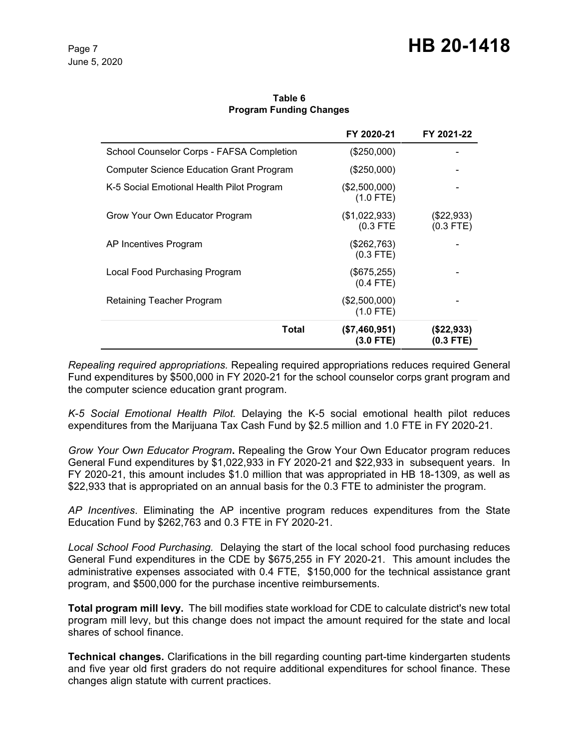|                                                 | FY 2020-21                     | FY 2021-22                  |
|-------------------------------------------------|--------------------------------|-----------------------------|
| School Counselor Corps - FAFSA Completion       | $(\$250,000)$                  |                             |
| <b>Computer Science Education Grant Program</b> | $(\$250,000)$                  |                             |
| K-5 Social Emotional Health Pilot Program       | $(\$2,500,000)$<br>$(1.0$ FTE) |                             |
| Grow Your Own Educator Program                  | (\$1,022,933)<br>$(0.3$ FTE    | $(\$22,933)$<br>$(0.3$ FTE) |
| AP Incentives Program                           | (\$262,763)<br>$(0.3$ FTE)     |                             |
| Local Food Purchasing Program                   | $(\$675,255)$<br>$(0.4$ FTE)   |                             |
| Retaining Teacher Program                       | (\$2,500,000)<br>$(1.0$ FTE)   |                             |
| Total                                           | (\$7,460,951)<br>(3.0 FTE)     | (\$22,933)<br>(0.3 FTE)     |

#### **Table 6 Program Funding Changes**

*Repealing required appropriations.* Repealing required appropriations reduces required General Fund expenditures by \$500,000 in FY 2020-21 for the school counselor corps grant program and the computer science education grant program.

*K-5 Social Emotional Health Pilot.* Delaying the K-5 social emotional health pilot reduces expenditures from the Marijuana Tax Cash Fund by \$2.5 million and 1.0 FTE in FY 2020-21.

*Grow Your Own Educator Program***.** Repealing the Grow Your Own Educator program reduces General Fund expenditures by \$1,022,933 in FY 2020-21 and \$22,933 in subsequent years. In FY 2020-21, this amount includes \$1.0 million that was appropriated in HB 18-1309, as well as \$22,933 that is appropriated on an annual basis for the 0.3 FTE to administer the program.

*AP Incentives*. Eliminating the AP incentive program reduces expenditures from the State Education Fund by \$262,763 and 0.3 FTE in FY 2020-21.

*Local School Food Purchasing.* Delaying the start of the local school food purchasing reduces General Fund expenditures in the CDE by \$675,255 in FY 2020-21. This amount includes the administrative expenses associated with 0.4 FTE, \$150,000 for the technical assistance grant program, and \$500,000 for the purchase incentive reimbursements.

**Total program mill levy.** The bill modifies state workload for CDE to calculate district's new total program mill levy, but this change does not impact the amount required for the state and local shares of school finance.

**Technical changes.** Clarifications in the bill regarding counting part-time kindergarten students and five year old first graders do not require additional expenditures for school finance. These changes align statute with current practices.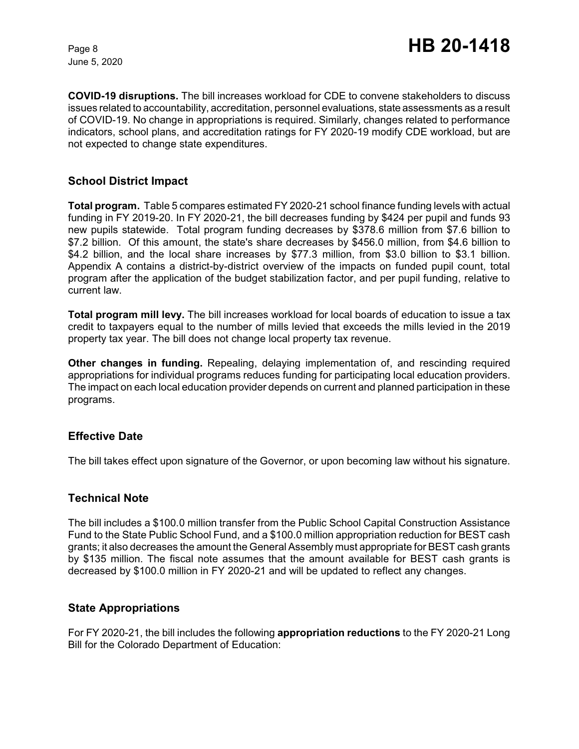**COVID-19 disruptions.** The bill increases workload for CDE to convene stakeholders to discuss issues related to accountability, accreditation, personnel evaluations, state assessments as a result of COVID-19. No change in appropriations is required. Similarly, changes related to performance indicators, school plans, and accreditation ratings for FY 2020-19 modify CDE workload, but are not expected to change state expenditures.

#### **School District Impact**

**Total program.** Table 5 compares estimated FY 2020-21 school finance funding levels with actual funding in FY 2019-20. In FY 2020-21, the bill decreases funding by \$424 per pupil and funds 93 new pupils statewide. Total program funding decreases by \$378.6 million from \$7.6 billion to \$7.2 billion. Of this amount, the state's share decreases by \$456.0 million, from \$4.6 billion to \$4.2 billion, and the local share increases by \$77.3 million, from \$3.0 billion to \$3.1 billion. Appendix A contains a district-by-district overview of the impacts on funded pupil count, total program after the application of the budget stabilization factor, and per pupil funding, relative to current law.

**Total program mill levy.** The bill increases workload for local boards of education to issue a tax credit to taxpayers equal to the number of mills levied that exceeds the mills levied in the 2019 property tax year. The bill does not change local property tax revenue.

**Other changes in funding.** Repealing, delaying implementation of, and rescinding required appropriations for individual programs reduces funding for participating local education providers. The impact on each local education provider depends on current and planned participation in these programs.

#### **Effective Date**

The bill takes effect upon signature of the Governor, or upon becoming law without his signature.

#### **Technical Note**

The bill includes a \$100.0 million transfer from the Public School Capital Construction Assistance Fund to the State Public School Fund, and a \$100.0 million appropriation reduction for BEST cash grants; it also decreases the amount the General Assembly must appropriate for BEST cash grants by \$135 million. The fiscal note assumes that the amount available for BEST cash grants is decreased by \$100.0 million in FY 2020-21 and will be updated to reflect any changes.

#### **State Appropriations**

For FY 2020-21, the bill includes the following **appropriation reductions** to the FY 2020-21 Long Bill for the Colorado Department of Education: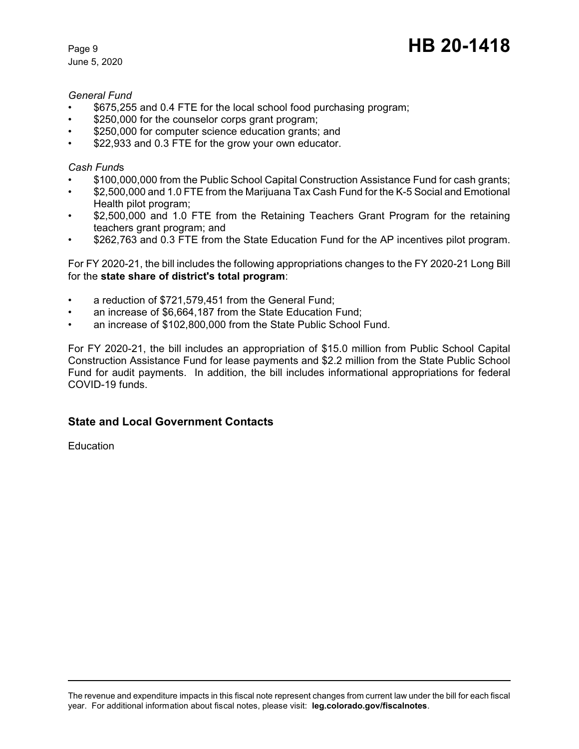# Page 9 **HB 20-1418**

#### *General Fund*

- \$675,255 and 0.4 FTE for the local school food purchasing program;
- \$250,000 for the counselor corps grant program;
- \$250,000 for computer science education grants; and
- \$22,933 and 0.3 FTE for the grow your own educator.

#### *Cash Fund*s

- \$100,000,000 from the Public School Capital Construction Assistance Fund for cash grants;
- \$2,500,000 and 1.0 FTE from the Marijuana Tax Cash Fund for the K-5 Social and Emotional Health pilot program;
- \$2,500,000 and 1.0 FTE from the Retaining Teachers Grant Program for the retaining teachers grant program; and
- \$262,763 and 0.3 FTE from the State Education Fund for the AP incentives pilot program.

For FY 2020-21, the bill includes the following appropriations changes to the FY 2020-21 Long Bill for the **state share of district's total program**:

- a reduction of \$721,579,451 from the General Fund;
- an increase of \$6,664,187 from the State Education Fund;
- an increase of \$102,800,000 from the State Public School Fund.

For FY 2020-21, the bill includes an appropriation of \$15.0 million from Public School Capital Construction Assistance Fund for lease payments and \$2.2 million from the State Public School Fund for audit payments. In addition, the bill includes informational appropriations for federal COVID-19 funds.

### **State and Local Government Contacts**

Education

The revenue and expenditure impacts in this fiscal note represent changes from current law under the bill for each fiscal year. For additional information about fiscal notes, please visit: **[leg.colorado.gov/fiscalnotes](http://leg.colorado.gov/fiscalnotes/)**.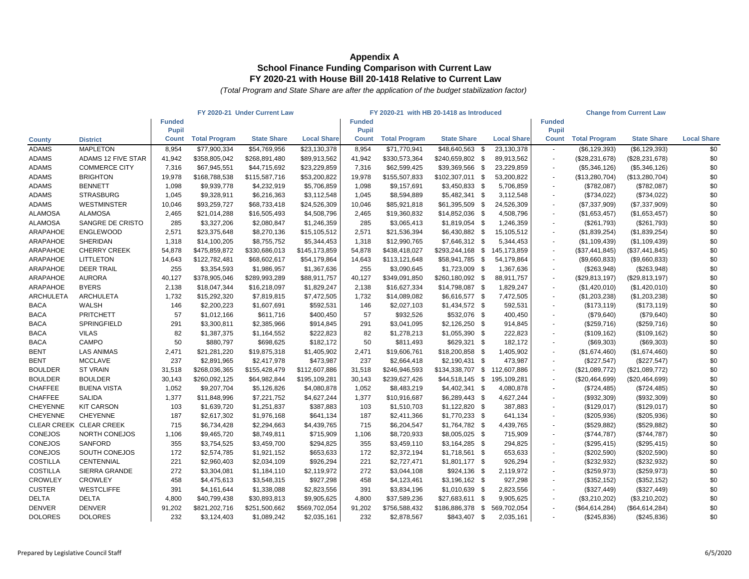|                    |                           |               |                      | FY 2020-21 Under Current Law |                    |               |                      | FY 2020-21 with HB 20-1418 as Introduced |                    |               |                      | <b>Change from Current Law</b> |                    |
|--------------------|---------------------------|---------------|----------------------|------------------------------|--------------------|---------------|----------------------|------------------------------------------|--------------------|---------------|----------------------|--------------------------------|--------------------|
|                    |                           | <b>Funded</b> |                      |                              |                    | <b>Funded</b> |                      |                                          |                    | <b>Funded</b> |                      |                                |                    |
|                    |                           | <b>Pupil</b>  |                      |                              |                    | <b>Pupil</b>  |                      |                                          |                    | <b>Pupil</b>  |                      |                                |                    |
| <b>County</b>      | <b>District</b>           | <b>Count</b>  | <b>Total Program</b> | <b>State Share</b>           | <b>Local Share</b> | <b>Count</b>  | <b>Total Program</b> | <b>State Share</b>                       | <b>Local Share</b> | <b>Count</b>  | <b>Total Program</b> | <b>State Share</b>             | <b>Local Share</b> |
| <b>ADAMS</b>       | <b>MAPLETON</b>           | 8,954         | \$77,900,334         | \$54,769,956                 | \$23,130,378       | 8,954         | \$71,770,941         | \$48,640,563 \$                          | 23,130,378         |               | (\$6,129,393)        | (\$6,129,393)                  | \$0                |
| <b>ADAMS</b>       | <b>ADAMS 12 FIVE STAR</b> | 41,942        | \$358,805,042        | \$268,891,480                | \$89,913,562       | 41,942        | \$330,573,364        | \$240,659,802 \$                         | 89,913,562         |               | (\$28, 231, 678)     | (\$28,231,678)                 | \$0                |
| <b>ADAMS</b>       | <b>COMMERCE CITY</b>      | 7,316         | \$67,945,551         | \$44,715,692                 | \$23,229,859       | 7,316         | \$62,599,425         | \$39,369,566 \$                          | 23,229,859         |               | (\$5,346,126)        | (\$5,346,126)                  | \$0                |
| <b>ADAMS</b>       | <b>BRIGHTON</b>           | 19,978        | \$168,788,538        | \$115,587,716                | \$53,200,822       | 19,978        | \$155,507,833        | \$102,307,011                            | - \$<br>53,200,822 |               | (\$13,280,704)       | (\$13,280,704)                 | \$0                |
| <b>ADAMS</b>       | <b>BENNETT</b>            | 1,098         | \$9,939,778          | \$4,232,919                  | \$5,706,859        | 1,098         | \$9,157,691          | $$3,450,833$ \$                          | 5,706,859          |               | (\$782,087)          | (\$782,087)                    | \$0                |
| <b>ADAMS</b>       | <b>STRASBURG</b>          | 1,045         | \$9,328,911          | \$6,216,363                  | \$3,112,548        | 1,045         | \$8,594,889          | $$5,482,341$ \\$                         | 3,112,548          |               | (\$734,022)          | (\$734,022)                    | \$0                |
| <b>ADAMS</b>       | <b>WESTMINSTER</b>        | 10,046        | \$93,259,727         | \$68,733,418                 | \$24,526,309       | 10,046        | \$85,921,818         | \$61,395,509 \$                          | 24,526,309         |               | (\$7,337,909)        | (\$7,337,909)                  | \$0                |
| <b>ALAMOSA</b>     | <b>ALAMOSA</b>            | 2,465         | \$21,014,288         | \$16,505,493                 | \$4,508,796        | 2,465         | \$19,360,832         | $$14,852,036$ \$                         | 4,508,796          |               | (\$1,653,457)        | (\$1,653,457)                  | \$0                |
| <b>ALAMOSA</b>     | SANGRE DE CRISTO          | 285           | \$3,327,206          | \$2,080,847                  | \$1,246,359        | 285           | \$3,065,413          | $$1,819,054$ \$                          | 1,246,359          |               | (\$261,793)          | (\$261,793)                    | \$0                |
| ARAPAHOE           | <b>ENGLEWOOD</b>          | 2,571         | \$23,375,648         | \$8,270,136                  | \$15,105,512       | 2,571         | \$21,536,394         | \$6,430,882 \$                           | 15,105,512         | $\sim$        | (\$1,839,254)        | (\$1,839,254)                  | \$0                |
| ARAPAHOE           | <b>SHERIDAN</b>           | 1,318         | \$14,100,205         | \$8,755,752                  | \$5,344,453        | 1,318         | \$12,990,765         | $$7,646,312$ \$                          | 5,344,453          |               | (\$1,109,439)        | (\$1,109,439)                  | \$0                |
| ARAPAHOE           | <b>CHERRY CREEK</b>       | 54,878        | \$475,859,872        | \$330,686,013                | \$145,173,859      | 54,878        | \$438,418,027        | $$293,244,168$ \$                        | 145,173,859        |               | (\$37,441,845)       | (\$37,441,845)                 | \$0                |
| ARAPAHOE           | <b>LITTLETON</b>          | 14,643        | \$122,782,481        | \$68,602,617                 | \$54,179,864       | 14,643        | \$113,121,648        | \$58,941,785 \$                          | 54,179,864         |               | (\$9,660,833)        | (\$9,660,833)                  | \$0                |
| ARAPAHOE           | <b>DEER TRAIL</b>         | 255           | \$3,354,593          | \$1,986,957                  | \$1,367,636        | 255           | \$3,090,645          | $$1,723,009$ \$                          | 1,367,636          |               | (\$263,948)          | (\$263,948)                    | \$0                |
| ARAPAHOE           | <b>AURORA</b>             | 40,127        | \$378,905,046        | \$289,993,289                | \$88,911,757       | 40,127        | \$349,091,850        | \$260,180,092 \$                         | 88,911,757         |               | (\$29,813,197)       | (\$29,813,197)                 | \$0                |
| ARAPAHOE           | <b>BYERS</b>              | 2,138         | \$18,047,344         | \$16,218,097                 | \$1,829,247        | 2,138         | \$16,627,334         | \$14,798,087 \$                          | 1,829,247          |               | (\$1,420,010)        | (\$1,420,010)                  | \$0                |
| <b>ARCHULETA</b>   | <b>ARCHULETA</b>          | 1,732         | \$15,292,320         | \$7,819,815                  | \$7,472,505        | 1,732         | \$14,089,082         | \$6,616,577 \$                           | 7,472,505          |               | (\$1,203,238)        | (\$1,203,238)                  | \$0                |
| <b>BACA</b>        | WALSH                     | 146           | \$2,200,223          | \$1,607,691                  | \$592,531          | 146           | \$2,027,103          | $$1,434,572$ \$                          | 592,531            |               | (\$173,119)          | (\$173, 119)                   | \$0                |
| <b>BACA</b>        | <b>PRITCHETT</b>          | 57            | \$1,012,166          | \$611,716                    | \$400,450          | 57            | \$932,526            | \$532,076 \$                             | 400,450            |               | (\$79,640)           | (\$79,640)                     | \$0                |
| <b>BACA</b>        | <b>SPRINGFIELD</b>        | 291           | \$3,300,811          | \$2,385,966                  | \$914,845          | 291           | \$3,041,095          | $$2,126,250$ \$                          | 914,845            |               | (\$259,716)          | (\$259,716)                    | \$0                |
| <b>BACA</b>        | <b>VILAS</b>              | 82            | \$1,387,375          | \$1,164,552                  | \$222,823          | 82            | \$1,278,213          | $$1,055,390$ \$                          | 222,823            |               | (\$109, 162)         | (\$109, 162)                   | \$0                |
| <b>BACA</b>        | <b>CAMPO</b>              | 50            | \$880,797            | \$698,625                    | \$182,172          | 50            | \$811,493            | $$629,321$ \$                            | 182,172            |               | (\$69,303)           | (\$69,303)                     | \$0                |
| <b>BENT</b>        | <b>LAS ANIMAS</b>         | 2,471         | \$21,281,220         | \$19,875,318                 | \$1,405,902        | 2,471         | \$19,606,761         | $$18,200,858$ \$                         | 1,405,902          |               | (\$1,674,460)        | (\$1,674,460)                  | \$0                |
| <b>BENT</b>        | <b>MCCLAVE</b>            | 237           | \$2,891,965          | \$2,417,978                  | \$473,987          | 237           | \$2,664,418          | $$2,190,431$ \$                          | 473,987            |               | (\$227,547)          | (\$227,547)                    | \$0                |
| <b>BOULDER</b>     | <b>ST VRAIN</b>           | 31,518        | \$268,036,365        | \$155,428,479                | \$112,607,886      | 31,518        | \$246,946,593        | \$134,338,707                            | \$<br>112,607,886  |               | (\$21,089,772)       | (\$21,089,772)                 | \$0                |
| <b>BOULDER</b>     | <b>BOULDER</b>            | 30,143        | \$260,092,125        | \$64,982,844                 | \$195,109,281      | 30,143        | \$239,627,426        | $$44,518,145$ \$                         | 195,109,281        |               | (\$20,464,699)       | (\$20,464,699)                 | \$0                |
| <b>CHAFFEE</b>     | <b>BUENA VISTA</b>        | 1,052         | \$9,207,704          | \$5,126,826                  | \$4,080,878        | 1,052         | \$8,483,219          | $$4,402,341$ \$                          | 4,080,878          |               | (\$724,485)          | (\$724,485)                    | \$0                |
| <b>CHAFFEE</b>     | <b>SALIDA</b>             | 1,377         | \$11,848,996         | \$7,221,752                  | \$4,627,244        | 1,377         | \$10,916,687         | $$6,289,443$ \$                          | 4,627,244          |               | (\$932,309)          | (\$932,309)                    | \$0                |
| <b>CHEYENNE</b>    | <b>KIT CARSON</b>         | 103           | \$1,639,720          | \$1,251,837                  | \$387,883          | 103           | \$1,510,703          | $$1,122,820$ \$                          | 387,883            |               | (\$129,017)          | (\$129,017)                    | \$0                |
| <b>CHEYENNE</b>    | <b>CHEYENNE</b>           | 187           | \$2,617,302          | \$1,976,168                  | \$641,134          | 187           | \$2,411,366          | $$1,770,233$ \$                          | 641,134            |               | $(\$205,936)$        | (\$205,936)                    | \$0                |
| <b>CLEAR CREEK</b> | <b>CLEAR CREEK</b>        | 715           | \$6,734,428          | \$2,294,663                  | \$4,439,765        | 715           | \$6,204,547          | $$1,764,782$ \$                          | 4,439,765          |               | (\$529,882)          | (\$529,882)                    | \$0                |
| <b>CONEJOS</b>     | NORTH CONEJOS             | 1,106         | \$9,465,720          | \$8,749,811                  | \$715,909          | 1,106         | \$8,720,933          | $$8,005,025$ \$                          | 715,909            |               | (\$744,787)          | (\$744,787)                    | \$0                |
| <b>CONEJOS</b>     | <b>SANFORD</b>            | 355           | \$3,754,525          | \$3,459,700                  | \$294,825          | 355           | \$3,459,110          | $$3,164,285$ \$                          | 294,825            |               | (\$295,415)          | (\$295,415)                    | \$0                |
| <b>CONEJOS</b>     | SOUTH CONEJOS             | 172           | \$2,574,785          | \$1,921,152                  | \$653,633          | 172           | \$2,372,194          | $$1,718,561$ \$                          | 653,633            |               | $(\$202,590)$        | (\$202,590)                    | \$0                |
| <b>COSTILLA</b>    | <b>CENTENNIAL</b>         | 221           | \$2,960,403          | \$2,034,109                  | \$926,294          | 221           | \$2,727,471          | $$1,801,177$ \$                          | 926,294            |               | (\$232,932)          | (\$232,932)                    | \$0                |
| <b>COSTILLA</b>    | SIERRA GRANDE             | 272           | \$3,304,081          | \$1,184,110                  | \$2,119,972        | 272           | \$3,044,108          | $$924,136$ \$                            | 2,119,972          |               | (\$259,973)          | (\$259,973)                    | \$0                |
| <b>CROWLEY</b>     | <b>CROWLEY</b>            | 458           | \$4,475,613          | \$3,548,315                  | \$927,298          | 458           | \$4,123,461          | $$3,196,162$ \$                          | 927,298            |               | (\$352, 152)         | (\$352, 152)                   | \$0                |
| <b>CUSTER</b>      | <b>WESTCLIFFE</b>         | 391           | \$4,161,644          | \$1,338,088                  | \$2,823,556        | 391           | \$3,834,196          | $$1,010,639$ \$                          | 2,823,556          |               | (\$327,449)          | (\$327,449)                    | \$0                |
| <b>DELTA</b>       | <b>DELTA</b>              | 4,800         | \$40,799,438         | \$30,893,813                 | \$9,905,625        | 4,800         | \$37,589,236         | \$27,683,611 \$                          | 9,905,625          |               | (\$3,210,202)        | (\$3,210,202)                  | \$0                |
| <b>DENVER</b>      | <b>DENVER</b>             | 91,202        | \$821,202,716        | \$251,500,662                | \$569,702,054      | 91,202        | \$756,588,432        | \$186,886,378 \$                         | 569,702,054        |               | (\$64,614,284)       | (\$64,614,284)                 | \$0                |
| <b>DOLORES</b>     | <b>DOLORES</b>            | 232           | \$3,124,403          | \$1,089,242                  | \$2,035,161        | 232           | \$2,878,567          | \$843,407 \$                             | 2,035,161          |               | (\$245,836)          | (\$245,836)                    | \$0                |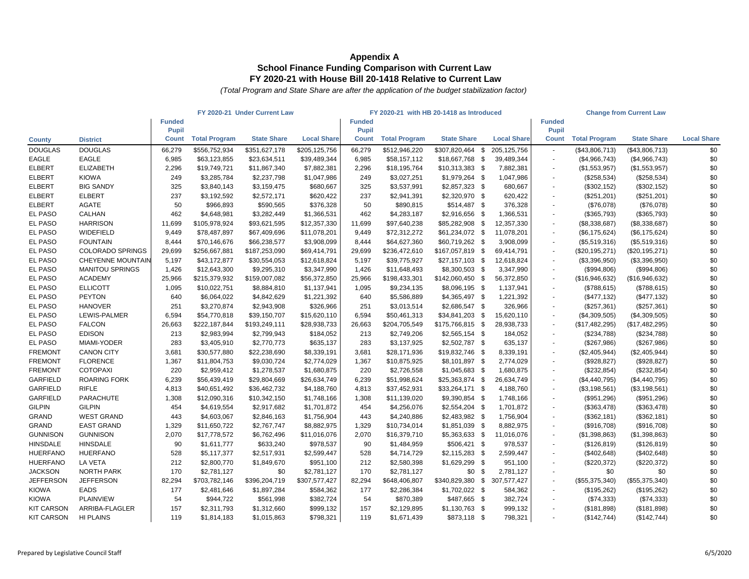| <b>Funded</b><br><b>Funded</b><br><b>Funded</b><br><b>Pupil</b><br><b>Pupil</b><br><b>Pupil</b><br><b>State Share</b><br><b>Total Program</b><br><b>State Share</b><br><b>Local Share</b><br><b>Total Program</b><br><b>State Share</b><br><b>Local Share</b><br><b>Total Program</b><br><b>Local Share</b><br><b>Count</b><br><b>Count</b><br><b>Count</b><br><b>District</b><br><b>County</b><br><b>DOUGLAS</b><br><b>DOUGLAS</b><br>\$556,752,934<br>\$351,627,178<br>\$205,125,756<br>66,279<br>\$307,820,464<br>\$<br>205,125,756<br>\$0<br>66,279<br>\$512,946,220<br>(\$43,806,713)<br>(\$43,806,713)<br>$\sim$<br><b>EAGLE</b><br><b>EAGLE</b><br>6,985<br>\$63,123,855<br>6,985<br>\$58,157,112<br>\$18,667,768 \$<br>39,489,344<br>\$0<br>\$23,634,511<br>\$39,489,344<br>(\$4,966,743)<br>(\$4,966,743)<br>\$0<br><b>ELBERT</b><br><b>ELIZABETH</b><br>2,296<br>\$19,749,721<br>\$11,867,340<br>\$7,882,381<br>2,296<br>\$18,195,764<br>\$10,313,383<br>7,882,381<br>(\$1,553,957)<br>(\$1,553,957)<br>- \$<br>$\sim$<br>\$0<br><b>ELBERT</b><br><b>KIOWA</b><br>$$1,979,264$ \$<br>1,047,986<br>249<br>\$3,285,784<br>\$2,237,798<br>\$1,047,986<br>249<br>\$3,027,251<br>(\$258,534)<br>(\$258,534)<br>$\sim$<br><b>BIG SANDY</b><br>\$0<br><b>ELBERT</b><br>325<br>\$3,840,143<br>\$3,159,475<br>\$680,667<br>\$3,537,991<br>$$2,857,323$ \$<br>680,667<br>(\$302, 152)<br>(\$302,152)<br>325<br>\$0<br><b>ELBERT</b><br><b>ELBERT</b><br>237<br>\$3,192,592<br>\$2,572,171<br>\$620,422<br>237<br>\$2,941,391<br>$$2,320,970$ \$<br>620,422<br>(\$251,201)<br>(\$251,201)<br>$\overline{\phantom{a}}$<br><b>AGATE</b><br>\$0<br><b>ELBERT</b><br>50<br>\$966,893<br>\$590,565<br>\$376,328<br>\$890,815<br>$$514,487$ \$<br>50<br>376,328<br>(\$76,078)<br>(\$76,078)<br>$\sim$<br><b>CALHAN</b><br>\$0<br><b>EL PASO</b><br>462<br>\$3,282,449<br>\$4,648,981<br>\$1,366,531<br>462<br>\$4,283,187<br>\$2,916,656<br>1,366,531<br>(\$365,793)<br>(\$365,793)<br>- \$<br>\$0<br>EL PASO<br><b>HARRISON</b><br>11,699<br>\$105,978,924<br>\$93,621,595<br>\$12,357,330<br>11,699<br>\$97,640,238<br>\$85,282,908<br>12,357,330<br>(\$8,338,687)<br>(\$8,338,687)<br>- \$<br>EL PASO<br>\$0<br>WIDEFIELD<br>\$78,487,897<br>9,449<br>\$61,234,072 \$<br>9,449<br>\$67,409,696<br>\$11,078,201<br>\$72,312,272<br>11,078,201<br>(\$6,175,624)<br>(\$6,175,624)<br>\$0<br><b>EL PASO</b><br><b>FOUNTAIN</b><br>\$60,719,262 \$<br>8,444<br>\$70,146,676<br>\$66,238,577<br>\$3,908,099<br>8,444<br>\$64,627,360<br>3,908,099<br>(\$5,519,316)<br>(\$5,519,316)<br>$\overline{\phantom{a}}$<br><b>EL PASO</b><br>\$0<br><b>COLORADO SPRINGS</b><br>29,699<br>\$167,057,819<br>69,414,791<br>29,699<br>\$256,667,881<br>\$187,253,090<br>\$69,414,791<br>\$236,472,610<br>- \$<br>(\$20,195,271)<br>(\$20,195,271)<br>$\sim$<br>\$0<br><b>EL PASO</b><br><b>CHEYENNE MOUNTAIN</b><br>5,197<br>\$43,172,877<br>\$30,554,053<br>\$12,618,824<br>5,197<br>\$39,775,927<br>$$27,157,103$ \$<br>12,618,824<br>(\$3,396,950)<br>(\$3,396,950)<br>EL PASO<br><b>MANITOU SPRINGS</b><br>\$9,295,310<br>1,426<br>3,347,990<br>\$0<br>1,426<br>\$12,643,300<br>\$3,347,990<br>\$11,648,493<br>\$8,300,503<br>(\$994,806)<br>(\$994,806)<br>- \$<br>\$0<br>EL PASO<br><b>ACADEMY</b><br>\$215,379,932<br>25,966<br>\$142,060,450<br>25,966<br>\$159,007,082<br>\$56,372,850<br>\$198,433,301<br>56,372,850<br>(\$16,946,632)<br>(\$16,946,632)<br>- \$<br>$\sim$<br><b>EL PASO</b><br>\$0<br><b>ELLICOTT</b><br>\$10,022,751<br>\$9,234,135<br>1,095<br>\$8,884,810<br>\$1,137,941<br>1,095<br>$$8,096,195$ \$<br>1,137,941<br>(\$788, 615)<br>(\$788,615)<br>\$0<br>EL PASO<br><b>PEYTON</b><br>\$6,064,022<br>\$4,842,629<br>$$4,365,497$ \$<br>640<br>\$1,221,392<br>640<br>\$5,586,889<br>1,221,392<br>(\$477,132)<br>(\$477,132)<br>$\sim$<br>\$0<br><b>EL PASO</b><br><b>HANOVER</b><br>\$3,270,874<br>\$2,943,908<br>$$2,686,547$ \\$<br>251<br>\$326,966<br>251<br>\$3,013,514<br>326,966<br>(\$257,361)<br>(\$257,361)<br>$\overline{\phantom{a}}$<br><b>EL PASO</b><br>\$0<br>LEWIS-PALMER<br>6,594<br>6,594<br>\$54,770,818<br>\$39,150,707<br>\$15,620,110<br>\$50,461,313<br>\$34,841,203<br>15,620,110<br>(\$4,309,505)<br>(\$4,309,505)<br>- \$<br>EL PASO<br>\$0<br><b>FALCON</b><br>26,663<br>\$222,187,844<br>\$193,249,111<br>\$28,938,733<br>26,663<br>\$204,705,549<br>\$175,766,815<br>-\$<br>28,938,733<br>(\$17,482,295)<br>(\$17,482,295)<br>$\sim$ |
|----------------------------------------------------------------------------------------------------------------------------------------------------------------------------------------------------------------------------------------------------------------------------------------------------------------------------------------------------------------------------------------------------------------------------------------------------------------------------------------------------------------------------------------------------------------------------------------------------------------------------------------------------------------------------------------------------------------------------------------------------------------------------------------------------------------------------------------------------------------------------------------------------------------------------------------------------------------------------------------------------------------------------------------------------------------------------------------------------------------------------------------------------------------------------------------------------------------------------------------------------------------------------------------------------------------------------------------------------------------------------------------------------------------------------------------------------------------------------------------------------------------------------------------------------------------------------------------------------------------------------------------------------------------------------------------------------------------------------------------------------------------------------------------------------------------------------------------------------------------------------------------------------------------------------------------------------------------------------------------------------------------------------------------------------------------------------------------------------------------------------------------------------------------------------------------------------------------------------------------------------------------------------------------------------------------------------------------------------------------------------------------------------------------------------------------------------------------------------------------------------------------------------------------------------------------------------------------------------------------------------------------------------------------------------------------------------------------------------------------------------------------------------------------------------------------------------------------------------------------------------------------------------------------------------------------------------------------------------------------------------------------------------------------------------------------------------------------------------------------------------------------------------------------------------------------------------------------------------------------------------------------------------------------------------------------------------------------------------------------------------------------------------------------------------------------------------------------------------------------------------------------------------------------------------------------------------------------------------------------------------------------------------------------------------------------------------------------------------------------------------------------------------------------------------------------------------------------------------------------------------------------------------------------------------------------------------------------------------------------------------------------------------------------------------------------------------------------------------------------------------------------------------------------------------------------------------------------------------------------------------------------------------------------------------------------------------------------------------------------------------------------------------------------------------------------------------------------------------|
|                                                                                                                                                                                                                                                                                                                                                                                                                                                                                                                                                                                                                                                                                                                                                                                                                                                                                                                                                                                                                                                                                                                                                                                                                                                                                                                                                                                                                                                                                                                                                                                                                                                                                                                                                                                                                                                                                                                                                                                                                                                                                                                                                                                                                                                                                                                                                                                                                                                                                                                                                                                                                                                                                                                                                                                                                                                                                                                                                                                                                                                                                                                                                                                                                                                                                                                                                                                                                                                                                                                                                                                                                                                                                                                                                                                                                                                                                                                                                                                                                                                                                                                                                                                                                                                                                                                                                                                                                                                                            |
|                                                                                                                                                                                                                                                                                                                                                                                                                                                                                                                                                                                                                                                                                                                                                                                                                                                                                                                                                                                                                                                                                                                                                                                                                                                                                                                                                                                                                                                                                                                                                                                                                                                                                                                                                                                                                                                                                                                                                                                                                                                                                                                                                                                                                                                                                                                                                                                                                                                                                                                                                                                                                                                                                                                                                                                                                                                                                                                                                                                                                                                                                                                                                                                                                                                                                                                                                                                                                                                                                                                                                                                                                                                                                                                                                                                                                                                                                                                                                                                                                                                                                                                                                                                                                                                                                                                                                                                                                                                                            |
|                                                                                                                                                                                                                                                                                                                                                                                                                                                                                                                                                                                                                                                                                                                                                                                                                                                                                                                                                                                                                                                                                                                                                                                                                                                                                                                                                                                                                                                                                                                                                                                                                                                                                                                                                                                                                                                                                                                                                                                                                                                                                                                                                                                                                                                                                                                                                                                                                                                                                                                                                                                                                                                                                                                                                                                                                                                                                                                                                                                                                                                                                                                                                                                                                                                                                                                                                                                                                                                                                                                                                                                                                                                                                                                                                                                                                                                                                                                                                                                                                                                                                                                                                                                                                                                                                                                                                                                                                                                                            |
|                                                                                                                                                                                                                                                                                                                                                                                                                                                                                                                                                                                                                                                                                                                                                                                                                                                                                                                                                                                                                                                                                                                                                                                                                                                                                                                                                                                                                                                                                                                                                                                                                                                                                                                                                                                                                                                                                                                                                                                                                                                                                                                                                                                                                                                                                                                                                                                                                                                                                                                                                                                                                                                                                                                                                                                                                                                                                                                                                                                                                                                                                                                                                                                                                                                                                                                                                                                                                                                                                                                                                                                                                                                                                                                                                                                                                                                                                                                                                                                                                                                                                                                                                                                                                                                                                                                                                                                                                                                                            |
|                                                                                                                                                                                                                                                                                                                                                                                                                                                                                                                                                                                                                                                                                                                                                                                                                                                                                                                                                                                                                                                                                                                                                                                                                                                                                                                                                                                                                                                                                                                                                                                                                                                                                                                                                                                                                                                                                                                                                                                                                                                                                                                                                                                                                                                                                                                                                                                                                                                                                                                                                                                                                                                                                                                                                                                                                                                                                                                                                                                                                                                                                                                                                                                                                                                                                                                                                                                                                                                                                                                                                                                                                                                                                                                                                                                                                                                                                                                                                                                                                                                                                                                                                                                                                                                                                                                                                                                                                                                                            |
|                                                                                                                                                                                                                                                                                                                                                                                                                                                                                                                                                                                                                                                                                                                                                                                                                                                                                                                                                                                                                                                                                                                                                                                                                                                                                                                                                                                                                                                                                                                                                                                                                                                                                                                                                                                                                                                                                                                                                                                                                                                                                                                                                                                                                                                                                                                                                                                                                                                                                                                                                                                                                                                                                                                                                                                                                                                                                                                                                                                                                                                                                                                                                                                                                                                                                                                                                                                                                                                                                                                                                                                                                                                                                                                                                                                                                                                                                                                                                                                                                                                                                                                                                                                                                                                                                                                                                                                                                                                                            |
|                                                                                                                                                                                                                                                                                                                                                                                                                                                                                                                                                                                                                                                                                                                                                                                                                                                                                                                                                                                                                                                                                                                                                                                                                                                                                                                                                                                                                                                                                                                                                                                                                                                                                                                                                                                                                                                                                                                                                                                                                                                                                                                                                                                                                                                                                                                                                                                                                                                                                                                                                                                                                                                                                                                                                                                                                                                                                                                                                                                                                                                                                                                                                                                                                                                                                                                                                                                                                                                                                                                                                                                                                                                                                                                                                                                                                                                                                                                                                                                                                                                                                                                                                                                                                                                                                                                                                                                                                                                                            |
|                                                                                                                                                                                                                                                                                                                                                                                                                                                                                                                                                                                                                                                                                                                                                                                                                                                                                                                                                                                                                                                                                                                                                                                                                                                                                                                                                                                                                                                                                                                                                                                                                                                                                                                                                                                                                                                                                                                                                                                                                                                                                                                                                                                                                                                                                                                                                                                                                                                                                                                                                                                                                                                                                                                                                                                                                                                                                                                                                                                                                                                                                                                                                                                                                                                                                                                                                                                                                                                                                                                                                                                                                                                                                                                                                                                                                                                                                                                                                                                                                                                                                                                                                                                                                                                                                                                                                                                                                                                                            |
|                                                                                                                                                                                                                                                                                                                                                                                                                                                                                                                                                                                                                                                                                                                                                                                                                                                                                                                                                                                                                                                                                                                                                                                                                                                                                                                                                                                                                                                                                                                                                                                                                                                                                                                                                                                                                                                                                                                                                                                                                                                                                                                                                                                                                                                                                                                                                                                                                                                                                                                                                                                                                                                                                                                                                                                                                                                                                                                                                                                                                                                                                                                                                                                                                                                                                                                                                                                                                                                                                                                                                                                                                                                                                                                                                                                                                                                                                                                                                                                                                                                                                                                                                                                                                                                                                                                                                                                                                                                                            |
|                                                                                                                                                                                                                                                                                                                                                                                                                                                                                                                                                                                                                                                                                                                                                                                                                                                                                                                                                                                                                                                                                                                                                                                                                                                                                                                                                                                                                                                                                                                                                                                                                                                                                                                                                                                                                                                                                                                                                                                                                                                                                                                                                                                                                                                                                                                                                                                                                                                                                                                                                                                                                                                                                                                                                                                                                                                                                                                                                                                                                                                                                                                                                                                                                                                                                                                                                                                                                                                                                                                                                                                                                                                                                                                                                                                                                                                                                                                                                                                                                                                                                                                                                                                                                                                                                                                                                                                                                                                                            |
|                                                                                                                                                                                                                                                                                                                                                                                                                                                                                                                                                                                                                                                                                                                                                                                                                                                                                                                                                                                                                                                                                                                                                                                                                                                                                                                                                                                                                                                                                                                                                                                                                                                                                                                                                                                                                                                                                                                                                                                                                                                                                                                                                                                                                                                                                                                                                                                                                                                                                                                                                                                                                                                                                                                                                                                                                                                                                                                                                                                                                                                                                                                                                                                                                                                                                                                                                                                                                                                                                                                                                                                                                                                                                                                                                                                                                                                                                                                                                                                                                                                                                                                                                                                                                                                                                                                                                                                                                                                                            |
|                                                                                                                                                                                                                                                                                                                                                                                                                                                                                                                                                                                                                                                                                                                                                                                                                                                                                                                                                                                                                                                                                                                                                                                                                                                                                                                                                                                                                                                                                                                                                                                                                                                                                                                                                                                                                                                                                                                                                                                                                                                                                                                                                                                                                                                                                                                                                                                                                                                                                                                                                                                                                                                                                                                                                                                                                                                                                                                                                                                                                                                                                                                                                                                                                                                                                                                                                                                                                                                                                                                                                                                                                                                                                                                                                                                                                                                                                                                                                                                                                                                                                                                                                                                                                                                                                                                                                                                                                                                                            |
|                                                                                                                                                                                                                                                                                                                                                                                                                                                                                                                                                                                                                                                                                                                                                                                                                                                                                                                                                                                                                                                                                                                                                                                                                                                                                                                                                                                                                                                                                                                                                                                                                                                                                                                                                                                                                                                                                                                                                                                                                                                                                                                                                                                                                                                                                                                                                                                                                                                                                                                                                                                                                                                                                                                                                                                                                                                                                                                                                                                                                                                                                                                                                                                                                                                                                                                                                                                                                                                                                                                                                                                                                                                                                                                                                                                                                                                                                                                                                                                                                                                                                                                                                                                                                                                                                                                                                                                                                                                                            |
|                                                                                                                                                                                                                                                                                                                                                                                                                                                                                                                                                                                                                                                                                                                                                                                                                                                                                                                                                                                                                                                                                                                                                                                                                                                                                                                                                                                                                                                                                                                                                                                                                                                                                                                                                                                                                                                                                                                                                                                                                                                                                                                                                                                                                                                                                                                                                                                                                                                                                                                                                                                                                                                                                                                                                                                                                                                                                                                                                                                                                                                                                                                                                                                                                                                                                                                                                                                                                                                                                                                                                                                                                                                                                                                                                                                                                                                                                                                                                                                                                                                                                                                                                                                                                                                                                                                                                                                                                                                                            |
|                                                                                                                                                                                                                                                                                                                                                                                                                                                                                                                                                                                                                                                                                                                                                                                                                                                                                                                                                                                                                                                                                                                                                                                                                                                                                                                                                                                                                                                                                                                                                                                                                                                                                                                                                                                                                                                                                                                                                                                                                                                                                                                                                                                                                                                                                                                                                                                                                                                                                                                                                                                                                                                                                                                                                                                                                                                                                                                                                                                                                                                                                                                                                                                                                                                                                                                                                                                                                                                                                                                                                                                                                                                                                                                                                                                                                                                                                                                                                                                                                                                                                                                                                                                                                                                                                                                                                                                                                                                                            |
|                                                                                                                                                                                                                                                                                                                                                                                                                                                                                                                                                                                                                                                                                                                                                                                                                                                                                                                                                                                                                                                                                                                                                                                                                                                                                                                                                                                                                                                                                                                                                                                                                                                                                                                                                                                                                                                                                                                                                                                                                                                                                                                                                                                                                                                                                                                                                                                                                                                                                                                                                                                                                                                                                                                                                                                                                                                                                                                                                                                                                                                                                                                                                                                                                                                                                                                                                                                                                                                                                                                                                                                                                                                                                                                                                                                                                                                                                                                                                                                                                                                                                                                                                                                                                                                                                                                                                                                                                                                                            |
|                                                                                                                                                                                                                                                                                                                                                                                                                                                                                                                                                                                                                                                                                                                                                                                                                                                                                                                                                                                                                                                                                                                                                                                                                                                                                                                                                                                                                                                                                                                                                                                                                                                                                                                                                                                                                                                                                                                                                                                                                                                                                                                                                                                                                                                                                                                                                                                                                                                                                                                                                                                                                                                                                                                                                                                                                                                                                                                                                                                                                                                                                                                                                                                                                                                                                                                                                                                                                                                                                                                                                                                                                                                                                                                                                                                                                                                                                                                                                                                                                                                                                                                                                                                                                                                                                                                                                                                                                                                                            |
|                                                                                                                                                                                                                                                                                                                                                                                                                                                                                                                                                                                                                                                                                                                                                                                                                                                                                                                                                                                                                                                                                                                                                                                                                                                                                                                                                                                                                                                                                                                                                                                                                                                                                                                                                                                                                                                                                                                                                                                                                                                                                                                                                                                                                                                                                                                                                                                                                                                                                                                                                                                                                                                                                                                                                                                                                                                                                                                                                                                                                                                                                                                                                                                                                                                                                                                                                                                                                                                                                                                                                                                                                                                                                                                                                                                                                                                                                                                                                                                                                                                                                                                                                                                                                                                                                                                                                                                                                                                                            |
|                                                                                                                                                                                                                                                                                                                                                                                                                                                                                                                                                                                                                                                                                                                                                                                                                                                                                                                                                                                                                                                                                                                                                                                                                                                                                                                                                                                                                                                                                                                                                                                                                                                                                                                                                                                                                                                                                                                                                                                                                                                                                                                                                                                                                                                                                                                                                                                                                                                                                                                                                                                                                                                                                                                                                                                                                                                                                                                                                                                                                                                                                                                                                                                                                                                                                                                                                                                                                                                                                                                                                                                                                                                                                                                                                                                                                                                                                                                                                                                                                                                                                                                                                                                                                                                                                                                                                                                                                                                                            |
|                                                                                                                                                                                                                                                                                                                                                                                                                                                                                                                                                                                                                                                                                                                                                                                                                                                                                                                                                                                                                                                                                                                                                                                                                                                                                                                                                                                                                                                                                                                                                                                                                                                                                                                                                                                                                                                                                                                                                                                                                                                                                                                                                                                                                                                                                                                                                                                                                                                                                                                                                                                                                                                                                                                                                                                                                                                                                                                                                                                                                                                                                                                                                                                                                                                                                                                                                                                                                                                                                                                                                                                                                                                                                                                                                                                                                                                                                                                                                                                                                                                                                                                                                                                                                                                                                                                                                                                                                                                                            |
|                                                                                                                                                                                                                                                                                                                                                                                                                                                                                                                                                                                                                                                                                                                                                                                                                                                                                                                                                                                                                                                                                                                                                                                                                                                                                                                                                                                                                                                                                                                                                                                                                                                                                                                                                                                                                                                                                                                                                                                                                                                                                                                                                                                                                                                                                                                                                                                                                                                                                                                                                                                                                                                                                                                                                                                                                                                                                                                                                                                                                                                                                                                                                                                                                                                                                                                                                                                                                                                                                                                                                                                                                                                                                                                                                                                                                                                                                                                                                                                                                                                                                                                                                                                                                                                                                                                                                                                                                                                                            |
|                                                                                                                                                                                                                                                                                                                                                                                                                                                                                                                                                                                                                                                                                                                                                                                                                                                                                                                                                                                                                                                                                                                                                                                                                                                                                                                                                                                                                                                                                                                                                                                                                                                                                                                                                                                                                                                                                                                                                                                                                                                                                                                                                                                                                                                                                                                                                                                                                                                                                                                                                                                                                                                                                                                                                                                                                                                                                                                                                                                                                                                                                                                                                                                                                                                                                                                                                                                                                                                                                                                                                                                                                                                                                                                                                                                                                                                                                                                                                                                                                                                                                                                                                                                                                                                                                                                                                                                                                                                                            |
|                                                                                                                                                                                                                                                                                                                                                                                                                                                                                                                                                                                                                                                                                                                                                                                                                                                                                                                                                                                                                                                                                                                                                                                                                                                                                                                                                                                                                                                                                                                                                                                                                                                                                                                                                                                                                                                                                                                                                                                                                                                                                                                                                                                                                                                                                                                                                                                                                                                                                                                                                                                                                                                                                                                                                                                                                                                                                                                                                                                                                                                                                                                                                                                                                                                                                                                                                                                                                                                                                                                                                                                                                                                                                                                                                                                                                                                                                                                                                                                                                                                                                                                                                                                                                                                                                                                                                                                                                                                                            |
| \$0<br>EL PASO<br><b>EDISON</b><br>213<br>$$2,565,154$ \$<br>\$2,983,994<br>\$2,799,943<br>\$184,052<br>213<br>\$2,749,206<br>184,052<br>(\$234,788)<br>(\$234,788)                                                                                                                                                                                                                                                                                                                                                                                                                                                                                                                                                                                                                                                                                                                                                                                                                                                                                                                                                                                                                                                                                                                                                                                                                                                                                                                                                                                                                                                                                                                                                                                                                                                                                                                                                                                                                                                                                                                                                                                                                                                                                                                                                                                                                                                                                                                                                                                                                                                                                                                                                                                                                                                                                                                                                                                                                                                                                                                                                                                                                                                                                                                                                                                                                                                                                                                                                                                                                                                                                                                                                                                                                                                                                                                                                                                                                                                                                                                                                                                                                                                                                                                                                                                                                                                                                                        |
| \$0<br><b>EL PASO</b><br>MIAMI-YODER<br>283<br>\$2,770,773<br>\$3,405,910<br>\$635,137<br>283<br>\$3,137,925<br>$$2,502,787$ \$<br>635,137<br>(\$267,986)<br>(\$267,986)                                                                                                                                                                                                                                                                                                                                                                                                                                                                                                                                                                                                                                                                                                                                                                                                                                                                                                                                                                                                                                                                                                                                                                                                                                                                                                                                                                                                                                                                                                                                                                                                                                                                                                                                                                                                                                                                                                                                                                                                                                                                                                                                                                                                                                                                                                                                                                                                                                                                                                                                                                                                                                                                                                                                                                                                                                                                                                                                                                                                                                                                                                                                                                                                                                                                                                                                                                                                                                                                                                                                                                                                                                                                                                                                                                                                                                                                                                                                                                                                                                                                                                                                                                                                                                                                                                   |
| <b>FREMONT</b><br>\$0<br><b>CANON CITY</b><br>\$19,832,746 \$<br>3,681<br>\$30,577,880<br>\$22,238,690<br>\$8,339,191<br>3,681<br>\$28,171,936<br>8,339,191<br>(\$2,405,944)<br>(\$2,405,944)                                                                                                                                                                                                                                                                                                                                                                                                                                                                                                                                                                                                                                                                                                                                                                                                                                                                                                                                                                                                                                                                                                                                                                                                                                                                                                                                                                                                                                                                                                                                                                                                                                                                                                                                                                                                                                                                                                                                                                                                                                                                                                                                                                                                                                                                                                                                                                                                                                                                                                                                                                                                                                                                                                                                                                                                                                                                                                                                                                                                                                                                                                                                                                                                                                                                                                                                                                                                                                                                                                                                                                                                                                                                                                                                                                                                                                                                                                                                                                                                                                                                                                                                                                                                                                                                              |
| <b>FREMONT</b><br><b>FLORENCE</b><br>1,367<br>\$0<br>\$11,804,753<br>\$9,030,724<br>\$2,774,029<br>1,367<br>\$10,875,925<br>\$8,101,897 \$<br>2,774,029<br>(\$928,827)<br>(\$928,827)<br>$\overline{\phantom{a}}$                                                                                                                                                                                                                                                                                                                                                                                                                                                                                                                                                                                                                                                                                                                                                                                                                                                                                                                                                                                                                                                                                                                                                                                                                                                                                                                                                                                                                                                                                                                                                                                                                                                                                                                                                                                                                                                                                                                                                                                                                                                                                                                                                                                                                                                                                                                                                                                                                                                                                                                                                                                                                                                                                                                                                                                                                                                                                                                                                                                                                                                                                                                                                                                                                                                                                                                                                                                                                                                                                                                                                                                                                                                                                                                                                                                                                                                                                                                                                                                                                                                                                                                                                                                                                                                          |
| <b>FREMONT</b><br>\$0<br><b>COTOPAXI</b><br>220<br>\$1,278,537<br>220<br>\$2,959,412<br>\$1,680,875<br>\$2,726,558<br>$$1,045,683$ \$<br>1,680,875<br>(\$232,854)<br>(\$232,854)<br>$\sim$                                                                                                                                                                                                                                                                                                                                                                                                                                                                                                                                                                                                                                                                                                                                                                                                                                                                                                                                                                                                                                                                                                                                                                                                                                                                                                                                                                                                                                                                                                                                                                                                                                                                                                                                                                                                                                                                                                                                                                                                                                                                                                                                                                                                                                                                                                                                                                                                                                                                                                                                                                                                                                                                                                                                                                                                                                                                                                                                                                                                                                                                                                                                                                                                                                                                                                                                                                                                                                                                                                                                                                                                                                                                                                                                                                                                                                                                                                                                                                                                                                                                                                                                                                                                                                                                                 |
| <b>GARFIELD</b><br>\$0<br><b>ROARING FORK</b><br>6,239<br>\$56,439,419<br>\$29,804,669<br>\$26,634,749<br>6,239<br>\$51,998,624<br>\$25,363,874 \$<br>26,634,749<br>(\$4,440,795)<br>(\$4,440,795)<br>$\overline{\phantom{a}}$                                                                                                                                                                                                                                                                                                                                                                                                                                                                                                                                                                                                                                                                                                                                                                                                                                                                                                                                                                                                                                                                                                                                                                                                                                                                                                                                                                                                                                                                                                                                                                                                                                                                                                                                                                                                                                                                                                                                                                                                                                                                                                                                                                                                                                                                                                                                                                                                                                                                                                                                                                                                                                                                                                                                                                                                                                                                                                                                                                                                                                                                                                                                                                                                                                                                                                                                                                                                                                                                                                                                                                                                                                                                                                                                                                                                                                                                                                                                                                                                                                                                                                                                                                                                                                             |
| <b>GARFIELD</b><br><b>RIFLE</b><br>4,813<br>\$0<br>\$40,651,492<br>\$4,188,760<br>4,813<br>\$37,452,931<br>$$33,264,171$ \$<br>4,188,760<br>(\$3,198,561)<br>\$36,462,732<br>(\$3,198,561)                                                                                                                                                                                                                                                                                                                                                                                                                                                                                                                                                                                                                                                                                                                                                                                                                                                                                                                                                                                                                                                                                                                                                                                                                                                                                                                                                                                                                                                                                                                                                                                                                                                                                                                                                                                                                                                                                                                                                                                                                                                                                                                                                                                                                                                                                                                                                                                                                                                                                                                                                                                                                                                                                                                                                                                                                                                                                                                                                                                                                                                                                                                                                                                                                                                                                                                                                                                                                                                                                                                                                                                                                                                                                                                                                                                                                                                                                                                                                                                                                                                                                                                                                                                                                                                                                 |
| <b>GARFIELD</b><br><b>PARACHUTE</b><br>1,308<br>\$12,090,316<br>\$10,342,150<br>\$1,748,166<br>1,308<br>\$11,139,020<br>\$9,390,854<br>-\$<br>1,748,166<br>(\$951,296)<br>(\$951,296)<br>\$0                                                                                                                                                                                                                                                                                                                                                                                                                                                                                                                                                                                                                                                                                                                                                                                                                                                                                                                                                                                                                                                                                                                                                                                                                                                                                                                                                                                                                                                                                                                                                                                                                                                                                                                                                                                                                                                                                                                                                                                                                                                                                                                                                                                                                                                                                                                                                                                                                                                                                                                                                                                                                                                                                                                                                                                                                                                                                                                                                                                                                                                                                                                                                                                                                                                                                                                                                                                                                                                                                                                                                                                                                                                                                                                                                                                                                                                                                                                                                                                                                                                                                                                                                                                                                                                                               |
| <b>GILPIN</b><br><b>GILPIN</b><br>\$4,619,554<br>\$2,917,682<br>\$1,701,872<br>454<br>454<br>\$4,256,076<br>$$2,554,204$ \$<br>1,701,872<br>(\$363,478)<br>(\$363,478)<br>\$0                                                                                                                                                                                                                                                                                                                                                                                                                                                                                                                                                                                                                                                                                                                                                                                                                                                                                                                                                                                                                                                                                                                                                                                                                                                                                                                                                                                                                                                                                                                                                                                                                                                                                                                                                                                                                                                                                                                                                                                                                                                                                                                                                                                                                                                                                                                                                                                                                                                                                                                                                                                                                                                                                                                                                                                                                                                                                                                                                                                                                                                                                                                                                                                                                                                                                                                                                                                                                                                                                                                                                                                                                                                                                                                                                                                                                                                                                                                                                                                                                                                                                                                                                                                                                                                                                              |
| <b>GRAND</b><br>\$0<br><b>WEST GRAND</b><br>443<br>\$4,603,067<br>\$2,846,163<br>\$1,756,904<br>\$4,240,886<br>$$2,483,982$ \$<br>1,756,904<br>443<br>(\$362,181)<br>(\$362,181)                                                                                                                                                                                                                                                                                                                                                                                                                                                                                                                                                                                                                                                                                                                                                                                                                                                                                                                                                                                                                                                                                                                                                                                                                                                                                                                                                                                                                                                                                                                                                                                                                                                                                                                                                                                                                                                                                                                                                                                                                                                                                                                                                                                                                                                                                                                                                                                                                                                                                                                                                                                                                                                                                                                                                                                                                                                                                                                                                                                                                                                                                                                                                                                                                                                                                                                                                                                                                                                                                                                                                                                                                                                                                                                                                                                                                                                                                                                                                                                                                                                                                                                                                                                                                                                                                           |
| GRAND<br><b>EAST GRAND</b><br>8,882,975<br>\$0<br>\$11,650,722<br>\$2,767,747<br>\$8,882,975<br>\$10,734,014<br>$$1,851,039$ \$<br>(\$916,708)<br>(\$916,708)<br>1,329<br>1,329                                                                                                                                                                                                                                                                                                                                                                                                                                                                                                                                                                                                                                                                                                                                                                                                                                                                                                                                                                                                                                                                                                                                                                                                                                                                                                                                                                                                                                                                                                                                                                                                                                                                                                                                                                                                                                                                                                                                                                                                                                                                                                                                                                                                                                                                                                                                                                                                                                                                                                                                                                                                                                                                                                                                                                                                                                                                                                                                                                                                                                                                                                                                                                                                                                                                                                                                                                                                                                                                                                                                                                                                                                                                                                                                                                                                                                                                                                                                                                                                                                                                                                                                                                                                                                                                                            |
| <b>GUNNISON</b><br><b>GUNNISON</b><br>2,070<br>\$17,778,572<br>\$6,762,496<br>\$11,016,076<br>2,070<br>\$16,379,710<br>\$5,363,633 \$<br>11,016,076<br>(\$1,398,863)<br>\$0<br>(\$1,398,863)                                                                                                                                                                                                                                                                                                                                                                                                                                                                                                                                                                                                                                                                                                                                                                                                                                                                                                                                                                                                                                                                                                                                                                                                                                                                                                                                                                                                                                                                                                                                                                                                                                                                                                                                                                                                                                                                                                                                                                                                                                                                                                                                                                                                                                                                                                                                                                                                                                                                                                                                                                                                                                                                                                                                                                                                                                                                                                                                                                                                                                                                                                                                                                                                                                                                                                                                                                                                                                                                                                                                                                                                                                                                                                                                                                                                                                                                                                                                                                                                                                                                                                                                                                                                                                                                               |
| <b>HINSDALE</b><br><b>HINSDALE</b><br>\$1,611,777<br>\$0<br>\$633,240<br>\$978,537<br>\$1,484,959<br>$$506,421$ \$<br>978,537<br>90<br>90<br>(\$126, 819)<br>(\$126,819)                                                                                                                                                                                                                                                                                                                                                                                                                                                                                                                                                                                                                                                                                                                                                                                                                                                                                                                                                                                                                                                                                                                                                                                                                                                                                                                                                                                                                                                                                                                                                                                                                                                                                                                                                                                                                                                                                                                                                                                                                                                                                                                                                                                                                                                                                                                                                                                                                                                                                                                                                                                                                                                                                                                                                                                                                                                                                                                                                                                                                                                                                                                                                                                                                                                                                                                                                                                                                                                                                                                                                                                                                                                                                                                                                                                                                                                                                                                                                                                                                                                                                                                                                                                                                                                                                                   |
| <b>HUERFANO</b><br><b>HUERFANO</b><br>\$2,517,931<br>\$0<br>\$5,117,377<br>\$2,599,447<br>\$4,714,729<br>$$2,115,283$ \$<br>2,599,447<br>(\$402,648)<br>(\$402,648)<br>528<br>528                                                                                                                                                                                                                                                                                                                                                                                                                                                                                                                                                                                                                                                                                                                                                                                                                                                                                                                                                                                                                                                                                                                                                                                                                                                                                                                                                                                                                                                                                                                                                                                                                                                                                                                                                                                                                                                                                                                                                                                                                                                                                                                                                                                                                                                                                                                                                                                                                                                                                                                                                                                                                                                                                                                                                                                                                                                                                                                                                                                                                                                                                                                                                                                                                                                                                                                                                                                                                                                                                                                                                                                                                                                                                                                                                                                                                                                                                                                                                                                                                                                                                                                                                                                                                                                                                          |
| <b>HUERFANO</b><br>LA VETA<br>\$0<br>212<br>\$2,800,770<br>\$1,849,670<br>\$951,100<br>\$2,580,398<br>$$1,629,299$ \$<br>951,100<br>212<br>$(\$220,372)$<br>$(\$220,372)$                                                                                                                                                                                                                                                                                                                                                                                                                                                                                                                                                                                                                                                                                                                                                                                                                                                                                                                                                                                                                                                                                                                                                                                                                                                                                                                                                                                                                                                                                                                                                                                                                                                                                                                                                                                                                                                                                                                                                                                                                                                                                                                                                                                                                                                                                                                                                                                                                                                                                                                                                                                                                                                                                                                                                                                                                                                                                                                                                                                                                                                                                                                                                                                                                                                                                                                                                                                                                                                                                                                                                                                                                                                                                                                                                                                                                                                                                                                                                                                                                                                                                                                                                                                                                                                                                                  |
| <b>JACKSON</b><br>NORTH PARK<br>\$0<br>\$0<br>170<br>\$2,781,127<br>\$0<br>\$2,781,127<br>170<br>\$2,781,127<br>-\$<br>2,781,127<br>\$0<br>\$0                                                                                                                                                                                                                                                                                                                                                                                                                                                                                                                                                                                                                                                                                                                                                                                                                                                                                                                                                                                                                                                                                                                                                                                                                                                                                                                                                                                                                                                                                                                                                                                                                                                                                                                                                                                                                                                                                                                                                                                                                                                                                                                                                                                                                                                                                                                                                                                                                                                                                                                                                                                                                                                                                                                                                                                                                                                                                                                                                                                                                                                                                                                                                                                                                                                                                                                                                                                                                                                                                                                                                                                                                                                                                                                                                                                                                                                                                                                                                                                                                                                                                                                                                                                                                                                                                                                             |
| <b>JEFFERSON</b><br>\$340,829,380<br>307,577,427<br>\$0<br><b>JEFFERSON</b><br>82,294<br>\$703,782,146<br>\$396,204,719<br>\$307,577,427<br>82,294<br>\$648,406,807<br>\$<br>(\$55,375,340)<br>(\$55,375,340)                                                                                                                                                                                                                                                                                                                                                                                                                                                                                                                                                                                                                                                                                                                                                                                                                                                                                                                                                                                                                                                                                                                                                                                                                                                                                                                                                                                                                                                                                                                                                                                                                                                                                                                                                                                                                                                                                                                                                                                                                                                                                                                                                                                                                                                                                                                                                                                                                                                                                                                                                                                                                                                                                                                                                                                                                                                                                                                                                                                                                                                                                                                                                                                                                                                                                                                                                                                                                                                                                                                                                                                                                                                                                                                                                                                                                                                                                                                                                                                                                                                                                                                                                                                                                                                              |
| <b>KIOWA</b><br><b>EADS</b><br>\$0<br>177<br>\$2,481,646<br>\$1,897,284<br>\$584,362<br>177<br>\$2,286,384<br>$$1,702,022$ \$<br>584,362<br>(\$195,262)<br>(\$195,262)                                                                                                                                                                                                                                                                                                                                                                                                                                                                                                                                                                                                                                                                                                                                                                                                                                                                                                                                                                                                                                                                                                                                                                                                                                                                                                                                                                                                                                                                                                                                                                                                                                                                                                                                                                                                                                                                                                                                                                                                                                                                                                                                                                                                                                                                                                                                                                                                                                                                                                                                                                                                                                                                                                                                                                                                                                                                                                                                                                                                                                                                                                                                                                                                                                                                                                                                                                                                                                                                                                                                                                                                                                                                                                                                                                                                                                                                                                                                                                                                                                                                                                                                                                                                                                                                                                     |
| <b>KIOWA</b><br><b>PLAINVIEW</b><br>\$944,722<br>\$870,389<br>\$0<br>\$561,998<br>\$382,724<br>54<br>\$487,665 \$<br>382,724<br>(\$74,333)<br>$(\$74,333)$<br>54                                                                                                                                                                                                                                                                                                                                                                                                                                                                                                                                                                                                                                                                                                                                                                                                                                                                                                                                                                                                                                                                                                                                                                                                                                                                                                                                                                                                                                                                                                                                                                                                                                                                                                                                                                                                                                                                                                                                                                                                                                                                                                                                                                                                                                                                                                                                                                                                                                                                                                                                                                                                                                                                                                                                                                                                                                                                                                                                                                                                                                                                                                                                                                                                                                                                                                                                                                                                                                                                                                                                                                                                                                                                                                                                                                                                                                                                                                                                                                                                                                                                                                                                                                                                                                                                                                           |
| <b>KIT CARSON</b><br>ARRIBA-FLAGLER<br>\$2,311,793<br>\$1,312,660<br>\$999,132<br>\$2,129,895<br>$$1,130,763$ \$<br>\$0<br>157<br>157<br>999,132<br>(\$181,898)<br>(\$181,898)                                                                                                                                                                                                                                                                                                                                                                                                                                                                                                                                                                                                                                                                                                                                                                                                                                                                                                                                                                                                                                                                                                                                                                                                                                                                                                                                                                                                                                                                                                                                                                                                                                                                                                                                                                                                                                                                                                                                                                                                                                                                                                                                                                                                                                                                                                                                                                                                                                                                                                                                                                                                                                                                                                                                                                                                                                                                                                                                                                                                                                                                                                                                                                                                                                                                                                                                                                                                                                                                                                                                                                                                                                                                                                                                                                                                                                                                                                                                                                                                                                                                                                                                                                                                                                                                                             |
| <b>KIT CARSON</b><br>HI PLAINS<br>\$1,814,183<br>\$0<br>119<br>\$1,015,863<br>\$798,321<br>119<br>\$1,671,439<br>$$873,118$ \$<br>(\$142,744)<br>(\$142,744)<br>798,321<br>$\sim$                                                                                                                                                                                                                                                                                                                                                                                                                                                                                                                                                                                                                                                                                                                                                                                                                                                                                                                                                                                                                                                                                                                                                                                                                                                                                                                                                                                                                                                                                                                                                                                                                                                                                                                                                                                                                                                                                                                                                                                                                                                                                                                                                                                                                                                                                                                                                                                                                                                                                                                                                                                                                                                                                                                                                                                                                                                                                                                                                                                                                                                                                                                                                                                                                                                                                                                                                                                                                                                                                                                                                                                                                                                                                                                                                                                                                                                                                                                                                                                                                                                                                                                                                                                                                                                                                          |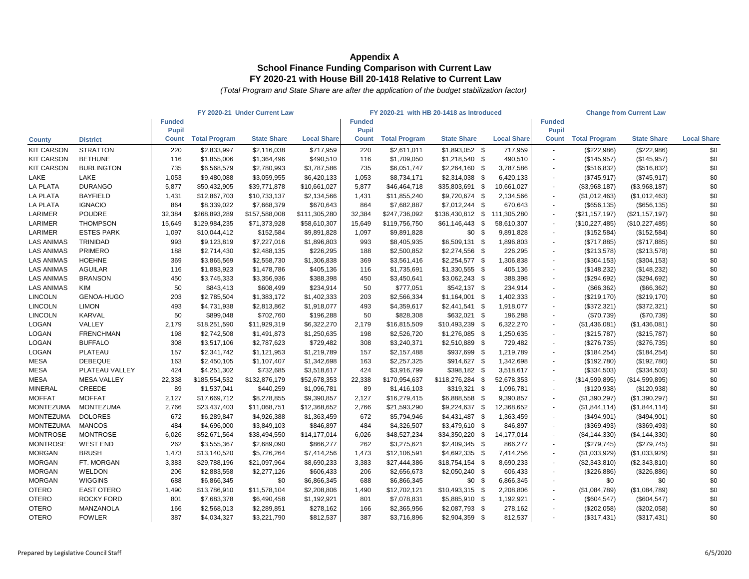|                   |                    |               |                      | FY 2020-21 Under Current Law |                    |               | FY 2020-21 with HB 20-1418 as Introduced |                    |      |                    |               |                      | <b>Change from Current Law</b> |                    |
|-------------------|--------------------|---------------|----------------------|------------------------------|--------------------|---------------|------------------------------------------|--------------------|------|--------------------|---------------|----------------------|--------------------------------|--------------------|
|                   |                    | <b>Funded</b> |                      |                              |                    | <b>Funded</b> |                                          |                    |      |                    | <b>Funded</b> |                      |                                |                    |
|                   |                    | <b>Pupil</b>  |                      |                              |                    | <b>Pupil</b>  |                                          |                    |      |                    | <b>Pupil</b>  |                      |                                |                    |
| <b>County</b>     | <b>District</b>    | <b>Count</b>  | <b>Total Program</b> | <b>State Share</b>           | <b>Local Share</b> | <b>Count</b>  | <b>Total Program</b>                     | <b>State Share</b> |      | <b>Local Share</b> | <b>Count</b>  | <b>Total Program</b> | <b>State Share</b>             | <b>Local Share</b> |
| <b>KIT CARSON</b> | <b>STRATTON</b>    | 220           | \$2,833,997          | \$2,116,038                  | \$717,959          | 220           | \$2,611,011                              | $$1,893,052$ \$    |      | 717,959            | $\sim$        | (\$222,986)          | (\$222,986)                    | \$0                |
| <b>KIT CARSON</b> | <b>BETHUNE</b>     | 116           | \$1,855,006          | \$1,364,496                  | \$490,510          | 116           | \$1,709,050                              | $$1,218,540$ \$    |      | 490,510            | $\sim$        | (\$145,957)          | (\$145,957)                    | \$0                |
| <b>KIT CARSON</b> | <b>BURLINGTON</b>  | 735           | \$6,568,579          | \$2,780,993                  | \$3,787,586        | 735           | \$6,051,747                              | \$2,264,160        | - \$ | 3,787,586          |               | (\$516,832)          | (\$516,832)                    | \$0                |
| LAKE              | <b>LAKE</b>        | 1,053         | \$9,480,088          | \$3,059,955                  | \$6,420,133        | 1,053         | \$8,734,171                              | \$2,314,038        | - \$ | 6,420,133          |               | (\$745,917)          | (\$745,917)                    | \$0                |
| <b>LA PLATA</b>   | <b>DURANGO</b>     | 5,877         | \$50,432,905         | \$39,771,878                 | \$10,661,027       | 5,877         | \$46,464,718                             | \$35,803,691 \$    |      | 10,661,027         | $\sim$        | (\$3,968,187)        | (\$3,968,187)                  | \$0                |
| <b>LA PLATA</b>   | <b>BAYFIELD</b>    | 1,431         | \$12,867,703         | \$10,733,137                 | \$2,134,566        | 1,431         | \$11,855,240                             | \$9,720,674 \$     |      | 2,134,566          | $\sim$        | (\$1,012,463)        | (\$1,012,463)                  | \$0                |
| <b>LA PLATA</b>   | <b>IGNACIO</b>     | 864           | \$8,339,022          | \$7,668,379                  | \$670,643          | 864           | \$7,682,887                              | $$7,012,244$ \$    |      | 670,643            |               | (\$656, 135)         | (\$656, 135)                   | \$0                |
| LARIMER           | <b>POUDRE</b>      | 32,384        | \$268,893,289        | \$157,588,008                | \$111,305,280      | 32,384        | \$247,736,092                            | $$136,430,812$ \$  |      | 111,305,280        |               | (\$21,157,197)       | (\$21,157,197)                 | \$0                |
| LARIMER           | <b>THOMPSON</b>    | 15,649        | \$129,984,235        | \$71,373,928                 | \$58,610,307       | 15,649        | \$119,756,750                            | \$61,146,443       | - \$ | 58,610,307         |               | (\$10,227,485)       | (\$10,227,485)                 | \$0                |
| LARIMER           | <b>ESTES PARK</b>  | 1,097         | \$10,044,412         | \$152,584                    | \$9,891,828        | 1,097         | \$9,891,828                              | \$0                |      | 9,891,828          | $\sim$        | (\$152,584)          | (\$152,584)                    | \$0                |
| <b>LAS ANIMAS</b> | <b>TRINIDAD</b>    | 993           | \$9,123,819          | \$7,227,016                  | \$1,896,803        | 993           | \$8,405,935                              | $$6,509,131$ \$    |      | 1,896,803          | $\sim$        | (\$717,885)          | (\$717,885)                    | \$0                |
| <b>LAS ANIMAS</b> | <b>PRIMERO</b>     | 188           | \$2,714,430          | \$2,488,135                  | \$226,295          | 188           | \$2,500,852                              | $$2,274,556$ \$    |      | 226,295            | $\sim$        | (\$213,578)          | (\$213,578)                    | \$0                |
| <b>LAS ANIMAS</b> | <b>HOEHNE</b>      | 369           | \$3,865,569          | \$2,558,730                  | \$1,306,838        | 369           | \$3,561,416                              | $$2,254,577$ \;    |      | 1,306,838          |               | (\$304, 153)         | (\$304, 153)                   | \$0                |
| <b>LAS ANIMAS</b> | <b>AGUILAR</b>     | 116           | \$1,883,923          | \$1,478,786                  | \$405,136          | 116           | \$1,735,691                              | $$1,330,555$ \$    |      | 405,136            | $\sim$        | (\$148,232)          | (\$148,232)                    | \$0                |
| <b>LAS ANIMAS</b> | <b>BRANSON</b>     | 450           | \$3,745,333          | \$3,356,936                  | \$388,398          | 450           | \$3,450,641                              | $$3,062,243$ \$    |      | 388,398            |               | (\$294,692)          | (\$294,692)                    | \$0                |
| <b>LAS ANIMAS</b> | <b>KIM</b>         | 50            | \$843,413            | \$608,499                    | \$234,914          | 50            | \$777,051                                | $$542,137$ \$      |      | 234,914            |               | (\$66,362)           | (\$66,362)                     | \$0                |
| <b>LINCOLN</b>    | <b>GENOA-HUGO</b>  | 203           | \$2,785,504          | \$1,383,172                  | \$1,402,333        | 203           | \$2,566,334                              | $$1,164,001$ \$    |      | 1,402,333          |               | (\$219,170)          | (\$219,170)                    | \$0                |
| <b>LINCOLN</b>    | <b>LIMON</b>       | 493           | \$4,731,938          | \$2,813,862                  | \$1,918,077        | 493           | \$4,359,617                              | $$2,441,541$ \$    |      | 1,918,077          |               | (\$372,321)          | (\$372,321)                    | \$0                |
| <b>LINCOLN</b>    | <b>KARVAL</b>      | 50            | \$899,048            | \$702,760                    | \$196,288          | 50            | \$828,308                                | \$632,021 \$       |      | 196,288            | $\sim$        | (\$70,739)           | (\$70,739)                     | \$0                |
| <b>LOGAN</b>      | VALLEY             | 2,179         | \$18,251,590         | \$11,929,319                 | \$6,322,270        | 2,179         | \$16,815,509                             | \$10,493,239       |      | 6,322,270          | $\sim$        | (\$1,436,081)        | (\$1,436,081)                  | \$0                |
| <b>LOGAN</b>      | <b>FRENCHMAN</b>   | 198           | \$2,742,508          | \$1,491,873                  | \$1,250,635        | 198           | \$2,526,720                              | $$1,276,085$ \$    |      | 1,250,635          |               | (\$215,787)          | (\$215,787)                    | \$0                |
| <b>LOGAN</b>      | <b>BUFFALO</b>     | 308           | \$3,517,106          | \$2,787,623                  | \$729,482          | 308           | \$3,240,371                              | $$2,510,889$ \$    |      | 729,482            |               | (\$276,735)          | (\$276,735)                    | \$0                |
| <b>LOGAN</b>      | <b>PLATEAU</b>     | 157           | \$2,341,742          | \$1,121,953                  | \$1,219,789        | 157           | \$2,157,488                              | \$937,699          | -\$  | 1,219,789          | $\sim$        | (\$184,254)          | (\$184,254)                    | \$0                |
| <b>MESA</b>       | <b>DEBEQUE</b>     | 163           | \$2,450,105          | \$1,107,407                  | \$1,342,698        | 163           | \$2,257,325                              | \$914,627          | - \$ | 1,342,698          |               | (\$192,780)          | (\$192,780)                    | \$0                |
| <b>MESA</b>       | PLATEAU VALLEY     | 424           | \$4,251,302          | \$732,685                    | \$3,518,617        | 424           | \$3,916,799                              | $$398,182$ \$      |      | 3,518,617          |               | (\$334,503)          | (\$334,503)                    | \$0                |
| <b>MESA</b>       | <b>MESA VALLEY</b> | 22,338        | \$185,554,532        | \$132,876,179                | \$52,678,353       | 22,338        | \$170,954,637                            | \$118,276,284      | - \$ | 52,678,353         |               | (\$14,599,895)       | (\$14,599,895)                 | \$0                |
| <b>MINERAL</b>    | <b>CREEDE</b>      | 89            | \$1,537,041          | \$440,259                    | \$1,096,781        | 89            | \$1,416,103                              | $$319,321$ \$      |      | 1,096,781          |               | (\$120,938)          | (\$120,938)                    | \$0                |
| <b>MOFFAT</b>     | <b>MOFFAT</b>      | 2,127         | \$17,669,712         | \$8,278,855                  | \$9,390,857        | 2,127         | \$16,279,415                             | \$6,888,558        | - \$ | 9,390,857          |               | (\$1,390,297)        | (\$1,390,297)                  | \$0                |
| <b>MONTEZUMA</b>  | <b>MONTEZUMA</b>   | 2,766         | \$23,437,403         | \$11,068,751                 | \$12,368,652       | 2,766         | \$21,593,290                             | $$9,224,637$ \$    |      | 12,368,652         |               | (\$1,844,114)        | (\$1,844,114)                  | \$0                |
| <b>MONTEZUMA</b>  | <b>DOLORES</b>     | 672           | \$6,289,847          | \$4,926,388                  | \$1,363,459        | 672           | \$5,794,946                              | $$4,431,487$ \$    |      | 1,363,459          |               | (\$494,901)          | (\$494,901)                    | \$0                |
| <b>MONTEZUMA</b>  | <b>MANCOS</b>      | 484           | \$4,696,000          | \$3,849,103                  | \$846,897          | 484           | \$4,326,507                              | \$3,479,610 \$     |      | 846,897            |               | (\$369,493)          | (\$369,493)                    | \$0                |
| <b>MONTROSE</b>   | <b>MONTROSE</b>    | 6,026         | \$52,671,564         | \$38,494,550                 | \$14,177,014       | 6,026         | \$48,527,234                             | \$34,350,220       | - \$ | 14,177,014         | $\sim$        | (\$4,144,330)        | (\$4,144,330)                  | \$0                |
| <b>MONTROSE</b>   | <b>WEST END</b>    | 262           | \$3,555,367          | \$2,689,090                  | \$866,277          | 262           | \$3,275,621                              | $$2,409,345$ \$    |      | 866,277            |               | (\$279,745)          | (\$279,745)                    | \$0                |
| <b>MORGAN</b>     | <b>BRUSH</b>       | 1,473         | \$13,140,520         | \$5,726,264                  | \$7,414,256        | 1,473         | \$12,106,591                             | $$4,692,335$ \$    |      | 7,414,256          | $\sim$        | (\$1,033,929)        | (\$1,033,929)                  | \$0                |
| <b>MORGAN</b>     | FT. MORGAN         | 3,383         | \$29,788,196         | \$21,097,964                 | \$8,690,233        | 3,383         | \$27,444,386                             | $$18,754,154$ \$   |      | 8,690,233          |               | (\$2,343,810)        | (\$2,343,810)                  | \$0                |
| <b>MORGAN</b>     | <b>WELDON</b>      | 206           | \$2,883,558          | \$2,277,126                  | \$606,433          | 206           | \$2,656,673                              | $$2,050,240$ \$    |      | 606,433            |               | (\$226,886)          | (\$226,886)                    | \$0                |
| <b>MORGAN</b>     | <b>WIGGINS</b>     | 688           | \$6,866,345          | \$0                          | \$6,866,345        | 688           | \$6,866,345                              | \$0                | -\$  | 6,866,345          |               | \$0                  | \$0                            | \$0                |
| <b>OTERO</b>      | <b>EAST OTERO</b>  | 1,490         | \$13,786,910         | \$11,578,104                 | \$2,208,806        | 1,490         | \$12,702,121                             | $$10,493,315$ \$   |      | 2,208,806          | $\sim$        | (\$1,084,789)        | (\$1,084,789)                  | \$0                |
| <b>OTERO</b>      | ROCKY FORD         | 801           | \$7,683,378          | \$6,490,458                  | \$1,192,921        | 801           | \$7,078,831                              | \$5,885,910 \$     |      | 1,192,921          |               | (\$604,547)          | (\$604,547)                    | \$0                |
| <b>OTERO</b>      | MANZANOLA          | 166           | \$2,568,013          | \$2,289,851                  | \$278,162          | 166           | \$2,365,956                              | $$2,087,793$ \$    |      | 278,162            | $\sim$        | (\$202,058)          | (\$202,058)                    | \$0                |
| <b>OTERO</b>      | <b>FOWLER</b>      | 387           | \$4,034,327          | \$3,221,790                  | \$812,537          | 387           | \$3,716,896                              | $$2,904,359$ \$    |      | 812,537            | $\sim$        | (\$317,431)          | (\$317,431)                    | \$0                |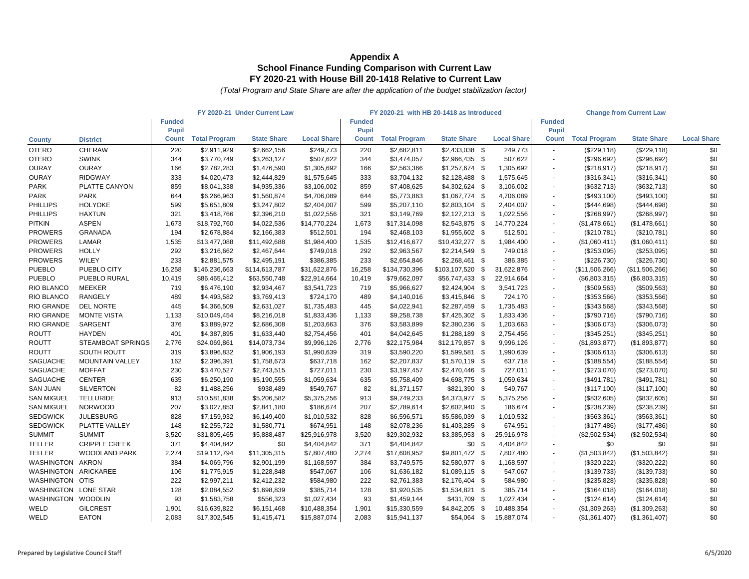|                      | FY 2020-21 Under Current Law |               |                      | FY 2020-21 with HB 20-1418 as Introduced |                    |               |                      |                     | <b>Change from Current Law</b> |               |                      |                    |                    |
|----------------------|------------------------------|---------------|----------------------|------------------------------------------|--------------------|---------------|----------------------|---------------------|--------------------------------|---------------|----------------------|--------------------|--------------------|
|                      |                              | <b>Funded</b> |                      |                                          |                    | <b>Funded</b> |                      |                     |                                | <b>Funded</b> |                      |                    |                    |
|                      |                              | <b>Pupil</b>  |                      |                                          |                    | <b>Pupil</b>  |                      |                     |                                | <b>Pupil</b>  |                      |                    |                    |
| <b>County</b>        | <b>District</b>              | <b>Count</b>  | <b>Total Program</b> | <b>State Share</b>                       | <b>Local Share</b> | <b>Count</b>  | <b>Total Program</b> | <b>State Share</b>  | <b>Local Share</b>             | <b>Count</b>  | <b>Total Program</b> | <b>State Share</b> | <b>Local Share</b> |
| <b>OTERO</b>         | <b>CHERAW</b>                | 220           | \$2,911,929          | \$2,662,156                              | \$249,773          | 220           | \$2,682,811          | $$2,433,038$ \$     | 249,773                        | $\sim$        | (\$229,118)          | (\$229,118)        | \$0                |
| <b>OTERO</b>         | <b>SWINK</b>                 | 344           | \$3,770,749          | \$3,263,127                              | \$507,622          | 344           | \$3,474,057          | $$2,966,435$ \$     | 507,622                        |               | (\$296,692)          | (\$296,692)        | \$0                |
| <b>OURAY</b>         | <b>OURAY</b>                 | 166           | \$2,782,283          | \$1,476,590                              | \$1,305,692        | 166           | \$2,563,366          | $$1,257,674$ \$     | 1,305,692                      |               | (\$218,917)          | (\$218,917)        | \$0                |
| <b>OURAY</b>         | <b>RIDGWAY</b>               | 333           | \$4,020,473          | \$2,444,829                              | \$1,575,645        | 333           | \$3,704,132          | $$2,128,488$ \$     | 1,575,645                      |               | (\$316,341)          | (\$316,341)        | \$0                |
| <b>PARK</b>          | PLATTE CANYON                | 859           | \$8,041,338          | \$4,935,336                              | \$3,106,002        | 859           | \$7,408,625          | $$4,302,624$ \$     | 3,106,002                      |               | (\$632,713)          | (\$632,713)        | \$0                |
| <b>PARK</b>          | <b>PARK</b>                  | 644           | \$6,266,963          | \$1,560,874                              | \$4,706,089        | 644           | \$5,773,863          | $$1,067,774$ \$     | 4,706,089                      |               | (\$493,100)          | (\$493,100)        | \$0                |
| <b>PHILLIPS</b>      | <b>HOLYOKE</b>               | 599           | \$5,651,809          | \$3,247,802                              | \$2,404,007        | 599           | \$5,207,110          | $$2,803,104$ \$     | 2,404,007                      |               | (\$444,698)          | (\$444,698)        | \$0                |
| <b>PHILLIPS</b>      | <b>HAXTUN</b>                | 321           | \$3,418,766          | \$2,396,210                              | \$1,022,556        | 321           | \$3,149,769          | $$2,127,213$ \$     | 1,022,556                      |               | (\$268,997)          | (\$268,997)        | \$0                |
| <b>PITKIN</b>        | <b>ASPEN</b>                 | 1,673         | \$18,792,760         | \$4,022,536                              | \$14,770,224       | 1,673         | \$17,314,098         | $$2,543,875$ \$     | 14,770,224                     |               | (\$1,478,661)        | (\$1,478,661)      | \$0                |
| <b>PROWERS</b>       | <b>GRANADA</b>               | 194           | \$2,678,884          | \$2,166,383                              | \$512,501          | 194           | \$2,468,103          | $$1,955,602$ \$     | 512,501                        |               | (\$210,781)          | (\$210,781)        | \$0                |
| <b>PROWERS</b>       | <b>LAMAR</b>                 | 1,535         | \$13,477,088         | \$11,492,688                             | \$1,984,400        | 1,535         | \$12,416,677         | $$10,432,277$ \$    | 1,984,400                      |               | (\$1,060,411)        | (\$1,060,411)      | \$0                |
| <b>PROWERS</b>       | <b>HOLLY</b>                 | 292           | \$3,216,662          | \$2,467,644                              | \$749,018          | 292           | \$2,963,567          | $$2,214,549$ \$     | 749,018                        |               | (\$253,095)          | (\$253,095)        | \$0                |
| <b>PROWERS</b>       | <b>WILEY</b>                 | 233           | \$2,881,575          | \$2,495,191                              | \$386,385          | 233           | \$2,654,846          | \$2,268,461<br>- \$ | 386,385                        |               | (\$226,730)          | (\$226,730)        | \$0                |
| <b>PUEBLO</b>        | PUEBLO CITY                  | 16,258        | \$146,236,663        | \$114,613,787                            | \$31,622,876       | 16,258        | \$134,730,396        | \$103,107,520       | 31,622,876<br>-\$              |               | (\$11,506,266)       | (\$11,506,266)     | \$0                |
| <b>PUEBLO</b>        | PUEBLO RURAL                 | 10,419        | \$86,465,412         | \$63,550,748                             | \$22,914,664       | 10,419        | \$79,662,097         | $$56,747,433$ \$    | 22,914,664                     |               | (\$6,803,315)        | (\$6,803,315)      | \$0                |
| <b>RIO BLANCO</b>    | <b>MEEKER</b>                | 719           | \$6,476,190          | \$2,934,467                              | \$3,541,723        | 719           | \$5,966,627          | $$2,424,904$ \$     | 3,541,723                      |               | (\$509,563)          | (\$509,563)        | \$0                |
| <b>RIO BLANCO</b>    | <b>RANGELY</b>               | 489           | \$4,493,582          | \$3,769,413                              | \$724,170          | 489           | \$4,140,016          | $$3,415,846$ \$     | 724,170                        |               | (\$353,566)          | (\$353,566)        | \$0                |
| <b>RIO GRANDE</b>    | <b>DEL NORTE</b>             | 445           | \$4,366,509          | \$2,631,027                              | \$1,735,483        | 445           | \$4,022,941          | $$2,287,459$ \$     | 1,735,483                      |               | (\$343,568)          | (\$343,568)        | \$0                |
| RIO GRANDE           | <b>MONTE VISTA</b>           | 1,133         | \$10,049,454         | \$8,216,018                              | \$1,833,436        | 1,133         | \$9,258,738          | $$7,425,302$ \$     | 1,833,436                      |               | (\$790,716)          | (\$790,716)        | \$0                |
| RIO GRANDE           | <b>SARGENT</b>               | 376           | \$3,889,972          | \$2,686,308                              | \$1,203,663        | 376           | \$3,583,899          | $$2,380,236$ \$     | 1,203,663                      |               | (\$306,073)          | (\$306,073)        | \$0                |
| <b>ROUTT</b>         | <b>HAYDEN</b>                | 401           | \$4,387,895          | \$1,633,440                              | \$2,754,456        | 401           | \$4,042,645          | $$1,288,189$ \$     | 2,754,456                      |               | (\$345,251)          | (\$345,251)        | \$0                |
| <b>ROUTT</b>         | <b>STEAMBOAT SPRINGS</b>     | 2,776         | \$24,069,861         | \$14,073,734                             | \$9,996,126        | 2,776         | \$22,175,984         | $$12,179,857$ \$    | 9,996,126                      |               | (\$1,893,877)        | (\$1,893,877)      | \$0                |
| <b>ROUTT</b>         | <b>SOUTH ROUTT</b>           | 319           | \$3,896,832          | \$1,906,193                              | \$1,990,639        | 319           | \$3,590,220          | $$1,599,581$ \$     | 1,990,639                      |               | (\$306,613)          | (\$306,613)        | \$0                |
| <b>SAGUACHE</b>      | <b>MOUNTAIN VALLEY</b>       | 162           | \$2,396,391          | \$1,758,673                              | \$637,718          | 162           | \$2,207,837          | $$1,570,119$ \$     | 637,718                        |               | (\$188,554)          | (\$188,554)        | \$0                |
| <b>SAGUACHE</b>      | <b>MOFFAT</b>                | 230           | \$3,470,527          | \$2,743,515                              | \$727,011          | 230           | \$3,197,457          | $$2,470,446$ \$     | 727,011                        |               | (\$273,070)          | (\$273,070)        | \$0                |
| <b>SAGUACHE</b>      | <b>CENTER</b>                | 635           | \$6,250,190          | \$5,190,555                              | \$1,059,634        | 635           | \$5,758,409          | $$4,698,775$ \$     | 1,059,634                      |               | (\$491,781)          | $(\$491,781)$      | \$0                |
| <b>SAN JUAN</b>      | <b>SILVERTON</b>             | 82            | \$1,488,256          | \$938,489                                | \$549,767          | 82            | \$1,371,157          | $$821,390$ \$       | 549,767                        |               | (\$117,100)          | (\$117,100)        | \$0                |
| <b>SAN MIGUEL</b>    | <b>TELLURIDE</b>             | 913           | \$10,581,838         | \$5,206,582                              | \$5,375,256        | 913           | \$9,749,233          | \$4,373,977 \$      | 5,375,256                      |               | (\$832,605)          | (\$832,605)        | \$0                |
| <b>SAN MIGUEL</b>    | <b>NORWOOD</b>               | 207           | \$3,027,853          | \$2,841,180                              | \$186,674          | 207           | \$2,789,614          | $$2,602,940$ \$     | 186,674                        |               | (\$238,239)          | (\$238,239)        | \$0                |
| <b>SEDGWICK</b>      | <b>JULESBURG</b>             | 828           | \$7,159,932          | \$6,149,400                              | \$1,010,532        | 828           | \$6,596,571          | \$5,586,039 \$      | 1,010,532                      |               | (\$563,361)          | (\$563,361)        | \$0                |
| <b>SEDGWICK</b>      | PLATTE VALLEY                | 148           | \$2,255,722          | \$1,580,771                              | \$674,951          | 148           | \$2,078,236          | $$1,403,285$ \$     | 674,951                        |               | (\$177,486)          | (\$177,486)        | \$0                |
| <b>SUMMIT</b>        | <b>SUMMIT</b>                | 3,520         | \$31,805,465         | \$5,888,487                              | \$25,916,978       | 3,520         | \$29,302,932         | $$3,385,953$ \$     | 25,916,978                     |               | (\$2,502,534)        | (\$2,502,534)      | \$0                |
| <b>TELLER</b>        | <b>CRIPPLE CREEK</b>         | 371           | \$4,404,842          | \$0                                      | \$4,404,842        | 371           | \$4,404,842          | \$0<br>- \$         | 4,404,842                      |               | \$0                  | \$0                | \$0                |
| <b>TELLER</b>        | <b>WOODLAND PARK</b>         | 2,274         | \$19,112,794         | \$11,305,315                             | \$7,807,480        | 2,274         | \$17,608,952         | $$9,801,472$ \$     | 7,807,480                      |               | (\$1,503,842)        | (\$1,503,842)      | \$0                |
| WASHINGTON           | AKRON                        | 384           | \$4,069,796          | \$2,901,199                              | \$1,168,597        | 384           | \$3,749,575          | \$2,580,977 \$      | 1,168,597                      |               | (\$320,222)          | (\$320,222)        | \$0                |
| WASHINGTON ARICKAREE |                              | 106           | \$1,775,915          | \$1,228,848                              | \$547,067          | 106           | \$1,636,182          | $$1,089,115$ \$     | 547,067                        |               | (\$139,733)          | (\$139,733)        | \$0                |
| WASHINGTON OTIS      |                              | 222           | \$2,997,211          | \$2,412,232                              | \$584,980          | 222           | \$2,761,383          | $$2,176,404$ \$     | 584,980                        |               | (\$235,828)          | (\$235,828)        | \$0                |
| WASHINGTON LONE STAR |                              | 128           | \$2,084,552          | \$1,698,839                              | \$385,714          | 128           | \$1,920,535          | $$1,534,821$ \$     | 385,714                        |               | (\$164,018)          | (\$164,018)        | \$0                |
| <b>WASHINGTON</b>    | <b>WOODLIN</b>               | 93            | \$1,583,758          | \$556,323                                | \$1,027,434        | 93            | \$1,459,144          | \$431,709 \$        | 1,027,434                      |               | (\$124, 614)         | (\$124,614)        | \$0                |
| WELD                 | <b>GILCREST</b>              | 1,901         | \$16,639,822         | \$6,151,468                              | \$10,488,354       | 1,901         | \$15,330,559         | $$4,842,205$ \$     | 10,488,354                     |               | (\$1,309,263)        | (\$1,309,263)      | \$0                |
| WELD                 | <b>EATON</b>                 | 2,083         | \$17,302,545         | \$1,415,471                              | \$15,887,074       | 2,083         | \$15,941,137         | $$54,064$ \$        | 15,887,074                     |               | (\$1,361,407)        | (\$1,361,407)      | \$0                |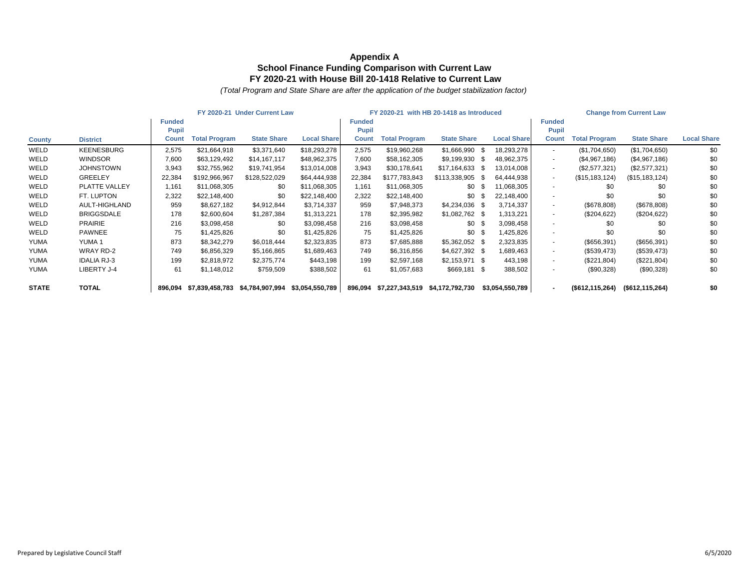|               | FY 2020-21 Under Current Law |               |                      |                                 | FY 2020-21 with HB 20-1418 as Introduced |               |                      |                    |      | <b>Change from Current Law</b> |               |                      |                    |                    |
|---------------|------------------------------|---------------|----------------------|---------------------------------|------------------------------------------|---------------|----------------------|--------------------|------|--------------------------------|---------------|----------------------|--------------------|--------------------|
|               |                              | <b>Funded</b> |                      |                                 |                                          | <b>Funded</b> |                      |                    |      |                                | <b>Funded</b> |                      |                    |                    |
|               |                              | <b>Pupil</b>  |                      |                                 |                                          | Pupi          |                      |                    |      |                                | <b>Pupil</b>  |                      |                    |                    |
| <b>County</b> | <b>District</b>              | <b>Count</b>  | <b>Total Program</b> | <b>State Share</b>              | <b>Local Share</b>                       | <b>Count</b>  | <b>Total Program</b> | <b>State Share</b> |      | <b>Local Share</b>             | <b>Count</b>  | <b>Total Program</b> | <b>State Share</b> | <b>Local Share</b> |
| WELD          | <b>KEENESBURG</b>            | 2,575         | \$21,664,918         | \$3,371,640                     | \$18,293,278                             | 2,575         | \$19,960,268         | \$1,666,990        | - \$ | 18,293,278                     |               | (\$1,704,650)        | (\$1,704,650)      | \$0                |
| WELD          | <b>WINDSOR</b>               | 7,600         | \$63,129,492         | \$14,167,117                    | \$48,962,375                             | 7,600         | \$58,162,305         | \$9,199,930        | - \$ | 48,962,375                     |               | (\$4,967,186)        | (\$4,967,186)      | \$0                |
| WELD          | <b>JOHNSTOWN</b>             | 3,943         | \$32,755,962         | \$19,741,954                    | \$13,014,008                             | 3,943         | \$30,178,641         | \$17,164,633       | - \$ | 13,014,008                     |               | (\$2,577,321)        | (\$2,577,321)      | \$0                |
| WELD          | <b>GREELEY</b>               | 22,384        | \$192,966,967        | \$128,522,029                   | \$64,444,938                             | 22,384        | \$177,783,843        | \$113,338,905      | -S   | 64,444,938                     |               | (\$15, 183, 124)     | (\$15,183,124)     | \$0                |
| WELD          | <b>PLATTE VALLEY</b>         | 1,161         | \$11,068,305         | \$0                             | \$11,068,305                             | 1,161         | \$11,068,305         | $$0$ \$            |      | 11,068,305                     |               | \$0                  | \$0                | \$0                |
| WELD          | FT. LUPTON                   | 2,322         | \$22,148,400         | \$0                             | \$22,148,400                             | 2,322         | \$22,148,400         | $$0$ \$            |      | 22,148,400                     |               | \$0                  | \$0                | \$0                |
| WELD          | AULT-HIGHLAND                | 959           | \$8,627,182          | \$4,912,844                     | \$3,714,337                              | 959           | \$7,948,373          | $$4,234,036$ \$    |      | 3,714,337                      |               | (\$678,808)          | (\$678,808)        | \$0                |
| WELD          | <b>BRIGGSDALE</b>            | 178           | \$2,600,604          | \$1,287,384                     | \$1,313,221                              | 178           | \$2,395,982          | $$1,082,762$ \$    |      | 1,313,221                      |               | (\$204,622)          | (\$204,622)        | \$0                |
| WELD          | <b>PRAIRIE</b>               | 216           | \$3,098,458          | \$0                             | \$3,098,458                              | 216           | \$3,098,458          | \$0                | - \$ | 3,098,458                      |               | \$0                  | \$0                | \$0                |
| WELD          | <b>PAWNEE</b>                | 75            | \$1,425,826          | \$0                             | \$1,425,826                              | 75            | \$1,425,826          | $$0$ \$            |      | 1,425,826                      |               | \$0                  | \$0                | \$0                |
| <b>YUMA</b>   | YUMA 1                       | 873           | \$8,342,279          | \$6,018,444                     | \$2,323,835                              | 873           | \$7,685,888          | $$5,362,052$ \$    |      | 2,323,835                      |               | (\$656,391)          | (\$656,391)        | \$0                |
| <b>YUMA</b>   | WRAY RD-2                    | 749           | \$6,856,329          | \$5,166,865                     | \$1,689,463                              | 749           | \$6,316,856          | $$4,627,392$ \$    |      | 1,689,463                      |               | (\$539,473)          | (\$539,473)        | \$0                |
| <b>YUMA</b>   | <b>IDALIA RJ-3</b>           | 199           | \$2,818,972          | \$2,375,774                     | \$443,198                                | 199           | \$2,597,168          | $$2,153,971$ \$    |      | 443,198                        |               | (\$221,804)          | (\$221,804)        | \$0                |
| <b>YUMA</b>   | LIBERTY J-4                  | 61            | \$1,148,012          | \$759,509                       | \$388,502                                | 61            | \$1,057,683          | $$669,181$ \$      |      | 388,502                        |               | (\$90,328)           | (\$90,328)         | \$0                |
| <b>STATE</b>  | <b>TOTAL</b>                 | 896,094       |                      | \$7,839,458,783 \$4,784,907,994 | \$3,054,550,789                          | 896,094       | \$7,227,343,519      | \$4,172,792,730    |      | \$3,054,550,789                |               | (\$612, 115, 264)    | (\$612, 115, 264)  | \$0                |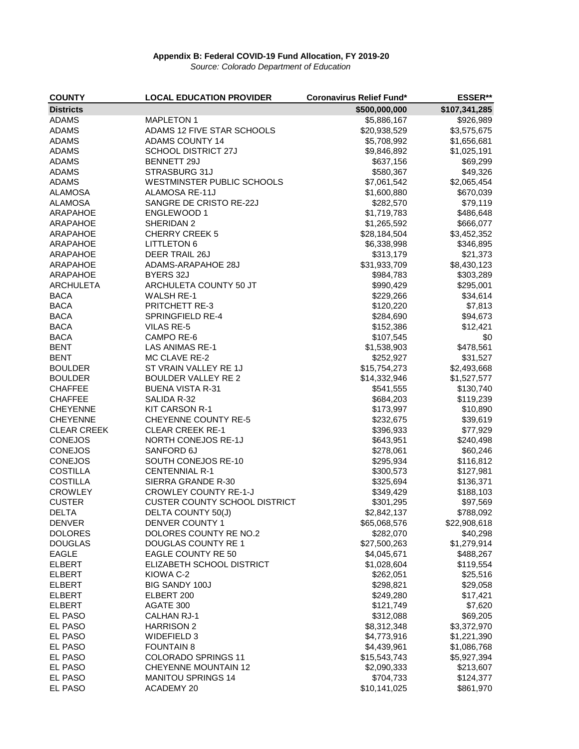*Source: Colorado Department of Education*

| <b>COUNTY</b>      | <b>LOCAL EDUCATION PROVIDER</b>      | <b>Coronavirus Relief Fund*</b> | <b>ESSER**</b> |
|--------------------|--------------------------------------|---------------------------------|----------------|
| <b>Districts</b>   |                                      | \$500,000,000                   | \$107,341,285  |
| <b>ADAMS</b>       | <b>MAPLETON 1</b>                    | \$5,886,167                     | \$926,989      |
| <b>ADAMS</b>       | ADAMS 12 FIVE STAR SCHOOLS           | \$20,938,529                    | \$3,575,675    |
| <b>ADAMS</b>       | <b>ADAMS COUNTY 14</b>               | \$5,708,992                     | \$1,656,681    |
| <b>ADAMS</b>       | <b>SCHOOL DISTRICT 27J</b>           | \$9,846,892                     | \$1,025,191    |
| <b>ADAMS</b>       | <b>BENNETT 29J</b>                   | \$637,156                       | \$69,299       |
| <b>ADAMS</b>       | STRASBURG 31J                        | \$580,367                       | \$49,326       |
| <b>ADAMS</b>       | WESTMINSTER PUBLIC SCHOOLS           | \$7,061,542                     | \$2,065,454    |
| <b>ALAMOSA</b>     | <b>ALAMOSA RE-11J</b>                | \$1,600,880                     | \$670,039      |
| <b>ALAMOSA</b>     | SANGRE DE CRISTO RE-22J              | \$282,570                       | \$79,119       |
| <b>ARAPAHOE</b>    | <b>ENGLEWOOD 1</b>                   | \$1,719,783                     | \$486,648      |
| ARAPAHOE           | SHERIDAN 2                           | \$1,265,592                     | \$666,077      |
| <b>ARAPAHOE</b>    | <b>CHERRY CREEK 5</b>                | \$28,184,504                    | \$3,452,352    |
| <b>ARAPAHOE</b>    | <b>LITTLETON 6</b>                   | \$6,338,998                     | \$346,895      |
| <b>ARAPAHOE</b>    | DEER TRAIL 26J                       | \$313,179                       | \$21,373       |
| <b>ARAPAHOE</b>    | ADAMS-ARAPAHOE 28J                   | \$31,933,709                    | \$8,430,123    |
| ARAPAHOE           | BYERS 32J                            | \$984,783                       | \$303,289      |
| <b>ARCHULETA</b>   | ARCHULETA COUNTY 50 JT               | \$990,429                       | \$295,001      |
| <b>BACA</b>        | <b>WALSH RE-1</b>                    | \$229,266                       | \$34,614       |
| <b>BACA</b>        | PRITCHETT RE-3                       | \$120,220                       | \$7,813        |
| <b>BACA</b>        | <b>SPRINGFIELD RE-4</b>              | \$284,690                       | \$94,673       |
| <b>BACA</b>        | <b>VILAS RE-5</b>                    | \$152,386                       | \$12,421       |
| <b>BACA</b>        | CAMPO RE-6                           | \$107,545                       | \$0            |
| <b>BENT</b>        | <b>LAS ANIMAS RE-1</b>               | \$1,538,903                     | \$478,561      |
| <b>BENT</b>        | MC CLAVE RE-2                        | \$252,927                       | \$31,527       |
| <b>BOULDER</b>     | ST VRAIN VALLEY RE 1J                | \$15,754,273                    | \$2,493,668    |
| <b>BOULDER</b>     | <b>BOULDER VALLEY RE 2</b>           | \$14,332,946                    | \$1,527,577    |
| <b>CHAFFEE</b>     | <b>BUENA VISTA R-31</b>              | \$541,555                       | \$130,740      |
| <b>CHAFFEE</b>     | SALIDA R-32                          | \$684,203                       | \$119,239      |
| <b>CHEYENNE</b>    | <b>KIT CARSON R-1</b>                | \$173,997                       | \$10,890       |
| <b>CHEYENNE</b>    | <b>CHEYENNE COUNTY RE-5</b>          | \$232,675                       | \$39,619       |
| <b>CLEAR CREEK</b> | <b>CLEAR CREEK RE-1</b>              | \$396,933                       | \$77,929       |
| <b>CONEJOS</b>     | NORTH CONEJOS RE-1J                  | \$643,951                       | \$240,498      |
| <b>CONEJOS</b>     | SANFORD 6J                           | \$278,061                       | \$60,246       |
| <b>CONEJOS</b>     | SOUTH CONEJOS RE-10                  | \$295,934                       | \$116,812      |
| <b>COSTILLA</b>    | <b>CENTENNIAL R-1</b>                | \$300,573                       | \$127,981      |
| <b>COSTILLA</b>    | SIERRA GRANDE R-30                   | \$325,694                       | \$136,371      |
| <b>CROWLEY</b>     | <b>CROWLEY COUNTY RE-1-J</b>         | \$349,429                       | \$188,103      |
| <b>CUSTER</b>      | <b>CUSTER COUNTY SCHOOL DISTRICT</b> | \$301,295                       | \$97,569       |
| <b>DELTA</b>       | DELTA COUNTY 50(J)                   | \$2,842,137                     | \$788,092      |
| <b>DENVER</b>      | DENVER COUNTY 1                      | \$65,068,576                    | \$22,908,618   |
| <b>DOLORES</b>     | DOLORES COUNTY RE NO.2               | \$282,070                       | \$40,298       |
| <b>DOUGLAS</b>     | <b>DOUGLAS COUNTY RE 1</b>           | \$27,500,263                    | \$1,279,914    |
| <b>EAGLE</b>       | <b>EAGLE COUNTY RE 50</b>            | \$4,045,671                     | \$488,267      |
| <b>ELBERT</b>      | ELIZABETH SCHOOL DISTRICT            | \$1,028,604                     | \$119,554      |
| <b>ELBERT</b>      | KIOWA C-2                            | \$262,051                       | \$25,516       |
| <b>ELBERT</b>      | <b>BIG SANDY 100J</b>                | \$298,821                       | \$29,058       |
| <b>ELBERT</b>      | ELBERT 200                           | \$249,280                       | \$17,421       |
| <b>ELBERT</b>      | AGATE 300                            | \$121,749                       | \$7,620        |
| EL PASO            | <b>CALHAN RJ-1</b>                   | \$312,088                       | \$69,205       |
| EL PASO            | <b>HARRISON 2</b>                    | \$8,312,348                     | \$3,372,970    |
| EL PASO            | <b>WIDEFIELD 3</b>                   | \$4,773,916                     | \$1,221,390    |
| EL PASO            | <b>FOUNTAIN 8</b>                    | \$4,439,961                     | \$1,086,768    |
| EL PASO            | <b>COLORADO SPRINGS 11</b>           | \$15,543,743                    | \$5,927,394    |
| EL PASO            | <b>CHEYENNE MOUNTAIN 12</b>          | \$2,090,333                     | \$213,607      |
| <b>EL PASO</b>     | <b>MANITOU SPRINGS 14</b>            | \$704,733                       | \$124,377      |
| EL PASO            | <b>ACADEMY 20</b>                    | \$10,141,025                    | \$861,970      |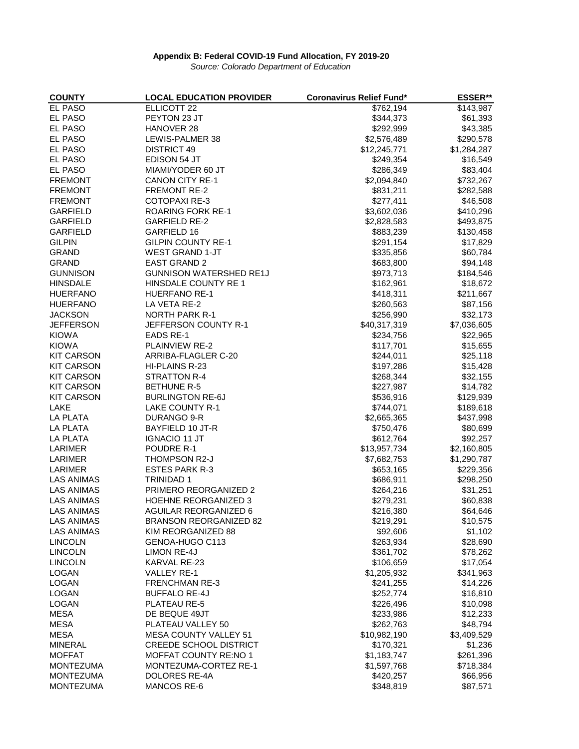*Source: Colorado Department of Education*

| <b>COUNTY</b>     | <b>LOCAL EDUCATION PROVIDER</b> | <b>Coronavirus Relief Fund*</b> | ESSER**              |
|-------------------|---------------------------------|---------------------------------|----------------------|
| <b>EL PASO</b>    | <b>ELLICOTT 22</b>              | \$762,194                       | \$143,987            |
| EL PASO           | PEYTON 23 JT                    | \$344,373                       | \$61,393             |
| EL PASO           | HANOVER 28                      | \$292,999                       | \$43,385             |
| <b>EL PASO</b>    | LEWIS-PALMER 38                 | \$2,576,489                     | \$290,578            |
| <b>EL PASO</b>    | <b>DISTRICT 49</b>              | \$12,245,771                    | \$1,284,287          |
| <b>EL PASO</b>    | EDISON 54 JT                    | \$249,354                       | \$16,549             |
| EL PASO           | MIAMI/YODER 60 JT               | \$286,349                       | \$83,404             |
| <b>FREMONT</b>    | <b>CANON CITY RE-1</b>          | \$2,094,840                     | \$732,267            |
| <b>FREMONT</b>    | <b>FREMONT RE-2</b>             | \$831,211                       | \$282,588            |
| <b>FREMONT</b>    | <b>COTOPAXI RE-3</b>            | \$277,411                       | \$46,508             |
| <b>GARFIELD</b>   | <b>ROARING FORK RE-1</b>        | \$3,602,036                     | \$410,296            |
| <b>GARFIELD</b>   | <b>GARFIELD RE-2</b>            | \$2,828,583                     | \$493,875            |
| <b>GARFIELD</b>   | <b>GARFIELD 16</b>              | \$883,239                       | \$130,458            |
| <b>GILPIN</b>     | <b>GILPIN COUNTY RE-1</b>       | \$291,154                       | \$17,829             |
| <b>GRAND</b>      | <b>WEST GRAND 1-JT</b>          | \$335,856                       | \$60,784             |
| <b>GRAND</b>      | <b>EAST GRAND 2</b>             | \$683,800                       | \$94,148             |
| <b>GUNNISON</b>   | <b>GUNNISON WATERSHED RE1J</b>  |                                 | \$184,546            |
|                   |                                 | \$973,713                       |                      |
| <b>HINSDALE</b>   | HINSDALE COUNTY RE 1            | \$162,961                       | \$18,672             |
| <b>HUERFANO</b>   | <b>HUERFANO RE-1</b>            | \$418,311                       | \$211,667            |
| <b>HUERFANO</b>   | LA VETA RE-2                    | \$260,563                       | \$87,156             |
| <b>JACKSON</b>    | <b>NORTH PARK R-1</b>           | \$256,990                       | \$32,173             |
| <b>JEFFERSON</b>  | JEFFERSON COUNTY R-1            | \$40,317,319                    | \$7,036,605          |
| <b>KIOWA</b>      | <b>EADS RE-1</b>                | \$234,756                       | \$22,965             |
| <b>KIOWA</b>      | <b>PLAINVIEW RE-2</b>           | \$117,701                       | \$15,655             |
| <b>KIT CARSON</b> | ARRIBA-FLAGLER C-20             | \$244,011                       | \$25,118             |
| <b>KIT CARSON</b> | HI-PLAINS R-23                  | \$197,286                       | \$15,428             |
| <b>KIT CARSON</b> | <b>STRATTON R-4</b>             | \$268,344                       | \$32,155             |
| <b>KIT CARSON</b> | <b>BETHUNE R-5</b>              | \$227,987                       | \$14,782             |
| <b>KIT CARSON</b> | <b>BURLINGTON RE-6J</b>         | \$536,916                       | \$129,939            |
| <b>LAKE</b>       | <b>LAKE COUNTY R-1</b>          | \$744,071                       | \$189,618            |
| <b>LA PLATA</b>   | DURANGO 9-R                     | \$2,665,365                     | \$437,998            |
| <b>LA PLATA</b>   | <b>BAYFIELD 10 JT-R</b>         | \$750,476                       | \$80,699             |
| <b>LA PLATA</b>   | <b>IGNACIO 11 JT</b>            | \$612,764                       | \$92,257             |
| <b>LARIMER</b>    | POUDRE R-1                      | \$13,957,734                    | \$2,160,805          |
| <b>LARIMER</b>    | THOMPSON R2-J                   | \$7,682,753                     | \$1,290,787          |
| <b>LARIMER</b>    | <b>ESTES PARK R-3</b>           | \$653,165                       | \$229,356            |
| LAS ANIMAS        | <b>TRINIDAD1</b>                | \$686,911                       | \$298,250            |
| <b>LAS ANIMAS</b> | PRIMERO REORGANIZED 2           | \$264,216                       | \$31,251             |
| <b>LAS ANIMAS</b> | <b>HOEHNE REORGANIZED 3</b>     | \$279,231                       | \$60,838             |
| <b>LAS ANIMAS</b> | <b>AGUILAR REORGANIZED 6</b>    | \$216,380                       | \$64,646             |
| <b>LAS ANIMAS</b> | <b>BRANSON REORGANIZED 82</b>   | \$219,291                       | \$10,575             |
| <b>LAS ANIMAS</b> | KIM REORGANIZED 88              | \$92,606                        | \$1,102              |
| <b>LINCOLN</b>    | GENOA-HUGO C113                 | \$263,934                       | \$28,690             |
| <b>LINCOLN</b>    | <b>LIMON RE-4J</b>              | \$361,702                       |                      |
|                   | KARVAL RE-23                    |                                 | \$78,262<br>\$17,054 |
| <b>LINCOLN</b>    |                                 | \$106,659                       |                      |
| <b>LOGAN</b>      | <b>VALLEY RE-1</b>              | \$1,205,932                     | \$341,963            |
| <b>LOGAN</b>      | <b>FRENCHMAN RE-3</b>           | \$241,255                       | \$14,226             |
| <b>LOGAN</b>      | <b>BUFFALO RE-4J</b>            | \$252,774                       | \$16,810             |
| <b>LOGAN</b>      | PLATEAU RE-5                    | \$226,496                       | \$10,098             |
| <b>MESA</b>       | DE BEQUE 49JT                   | \$233,986                       | \$12,233             |
| <b>MESA</b>       | PLATEAU VALLEY 50               | \$262,763                       | \$48,794             |
| <b>MESA</b>       | <b>MESA COUNTY VALLEY 51</b>    | \$10,982,190                    | \$3,409,529          |
| <b>MINERAL</b>    | <b>CREEDE SCHOOL DISTRICT</b>   | \$170,321                       | \$1,236              |
| <b>MOFFAT</b>     | <b>MOFFAT COUNTY RE:NO 1</b>    | \$1,183,747                     | \$261,396            |
| <b>MONTEZUMA</b>  | MONTEZUMA-CORTEZ RE-1           | \$1,597,768                     | \$718,384            |
| <b>MONTEZUMA</b>  | DOLORES RE-4A                   | \$420,257                       | \$66,956             |
| <b>MONTEZUMA</b>  | <b>MANCOS RE-6</b>              | \$348,819                       | \$87,571             |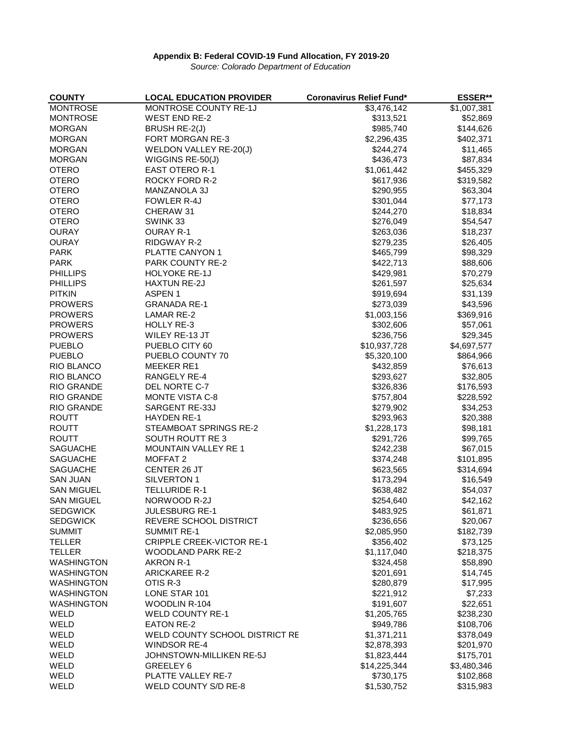*Source: Colorado Department of Education*

| <b>COUNTY</b>     | <b>LOCAL EDUCATION PROVIDER</b>  | <b>Coronavirus Relief Fund*</b> | <b>ESSER**</b> |
|-------------------|----------------------------------|---------------------------------|----------------|
| <b>MONTROSE</b>   | MONTROSE COUNTY RE-1J            | \$3,476,142                     | \$1,007,381    |
| <b>MONTROSE</b>   | <b>WEST END RE-2</b>             | \$313,521                       | \$52,869       |
| <b>MORGAN</b>     | BRUSH RE-2(J)                    | \$985,740                       | \$144,626      |
| <b>MORGAN</b>     | FORT MORGAN RE-3                 | \$2,296,435                     | \$402,371      |
| <b>MORGAN</b>     | WELDON VALLEY RE-20(J)           | \$244,274                       | \$11,465       |
| <b>MORGAN</b>     | WIGGINS RE-50(J)                 | \$436,473                       | \$87,834       |
| <b>OTERO</b>      | <b>EAST OTERO R-1</b>            | \$1,061,442                     | \$455,329      |
| <b>OTERO</b>      | <b>ROCKY FORD R-2</b>            | \$617,936                       | \$319,582      |
| <b>OTERO</b>      | <b>MANZANOLA 3J</b>              | \$290,955                       | \$63,304       |
| <b>OTERO</b>      | FOWLER R-4J                      | \$301,044                       | \$77,173       |
| <b>OTERO</b>      | CHERAW 31                        | \$244,270                       | \$18,834       |
| <b>OTERO</b>      | SWINK 33                         | \$276,049                       | \$54,547       |
| <b>OURAY</b>      | <b>OURAY R-1</b>                 | \$263,036                       | \$18,237       |
| <b>OURAY</b>      | RIDGWAY R-2                      | \$279,235                       | \$26,405       |
| <b>PARK</b>       | PLATTE CANYON 1                  | \$465,799                       | \$98,329       |
| <b>PARK</b>       | PARK COUNTY RE-2                 | \$422,713                       | \$88,606       |
| <b>PHILLIPS</b>   | <b>HOLYOKE RE-1J</b>             | \$429,981                       | \$70,279       |
| <b>PHILLIPS</b>   | <b>HAXTUN RE-2J</b>              | \$261,597                       | \$25,634       |
| <b>PITKIN</b>     | ASPEN <sub>1</sub>               | \$919,694                       | \$31,139       |
| <b>PROWERS</b>    | <b>GRANADA RE-1</b>              | \$273,039                       | \$43,596       |
| <b>PROWERS</b>    | <b>LAMAR RE-2</b>                | \$1,003,156                     | \$369,916      |
| <b>PROWERS</b>    | <b>HOLLY RE-3</b>                | \$302,606                       | \$57,061       |
| <b>PROWERS</b>    | WILEY RE-13 JT                   | \$236,756                       | \$29,345       |
| <b>PUEBLO</b>     | PUEBLO CITY 60                   | \$10,937,728                    | \$4,697,577    |
| <b>PUEBLO</b>     | PUEBLO COUNTY 70                 | \$5,320,100                     | \$864,966      |
| RIO BLANCO        | <b>MEEKER RE1</b>                | \$432,859                       | \$76,613       |
| <b>RIO BLANCO</b> | RANGELY RE-4                     | \$293,627                       | \$32,805       |
| <b>RIO GRANDE</b> | DEL NORTE C-7                    | \$326,836                       | \$176,593      |
| <b>RIO GRANDE</b> | <b>MONTE VISTA C-8</b>           | \$757,804                       | \$228,592      |
| <b>RIO GRANDE</b> | SARGENT RE-33J                   | \$279,902                       | \$34,253       |
| <b>ROUTT</b>      | <b>HAYDEN RE-1</b>               | \$293,963                       | \$20,388       |
| <b>ROUTT</b>      | STEAMBOAT SPRINGS RE-2           | \$1,228,173                     | \$98,181       |
| <b>ROUTT</b>      | SOUTH ROUTT RE 3                 | \$291,726                       | \$99,765       |
| <b>SAGUACHE</b>   | MOUNTAIN VALLEY RE 1             | \$242,238                       | \$67,015       |
| <b>SAGUACHE</b>   | MOFFAT <sub>2</sub>              | \$374,248                       | \$101,895      |
| <b>SAGUACHE</b>   | CENTER 26 JT                     | \$623,565                       | \$314,694      |
| <b>SAN JUAN</b>   | SILVERTON 1                      | \$173,294                       | \$16,549       |
| <b>SAN MIGUEL</b> | <b>TELLURIDE R-1</b>             | \$638,482                       | \$54,037       |
| <b>SAN MIGUEL</b> | NORWOOD R-2J                     | \$254,640                       | \$42,162       |
| <b>SEDGWICK</b>   | <b>JULESBURG RE-1</b>            | \$483,925                       | \$61,871       |
| <b>SEDGWICK</b>   | REVERE SCHOOL DISTRICT           | \$236,656                       | \$20,067       |
| <b>SUMMIT</b>     | <b>SUMMIT RE-1</b>               | \$2,085,950                     | \$182,739      |
| <b>TELLER</b>     | <b>CRIPPLE CREEK-VICTOR RE-1</b> | \$356,402                       | \$73,125       |
| <b>TELLER</b>     | <b>WOODLAND PARK RE-2</b>        | \$1,117,040                     | \$218,375      |
| <b>WASHINGTON</b> | AKRON R-1                        | \$324,458                       | \$58,890       |
| <b>WASHINGTON</b> | <b>ARICKAREE R-2</b>             | \$201,691                       | \$14,745       |
| <b>WASHINGTON</b> | OTIS R-3                         | \$280,879                       | \$17,995       |
| <b>WASHINGTON</b> | LONE STAR 101                    | \$221,912                       | \$7,233        |
| <b>WASHINGTON</b> | <b>WOODLIN R-104</b>             | \$191,607                       | \$22,651       |
| WELD              | <b>WELD COUNTY RE-1</b>          | \$1,205,765                     | \$238,230      |
| WELD              | <b>EATON RE-2</b>                | \$949,786                       | \$108,706      |
| WELD              | WELD COUNTY SCHOOL DISTRICT RE   | \$1,371,211                     | \$378,049      |
| WELD              | <b>WINDSOR RE-4</b>              | \$2,878,393                     | \$201,970      |
| WELD              | JOHNSTOWN-MILLIKEN RE-5J         | \$1,823,444                     | \$175,701      |
| WELD              | GREELEY 6                        | \$14,225,344                    | \$3,480,346    |
| WELD              | PLATTE VALLEY RE-7               | \$730,175                       | \$102,868      |
| WELD              | WELD COUNTY S/D RE-8             | \$1,530,752                     | \$315,983      |